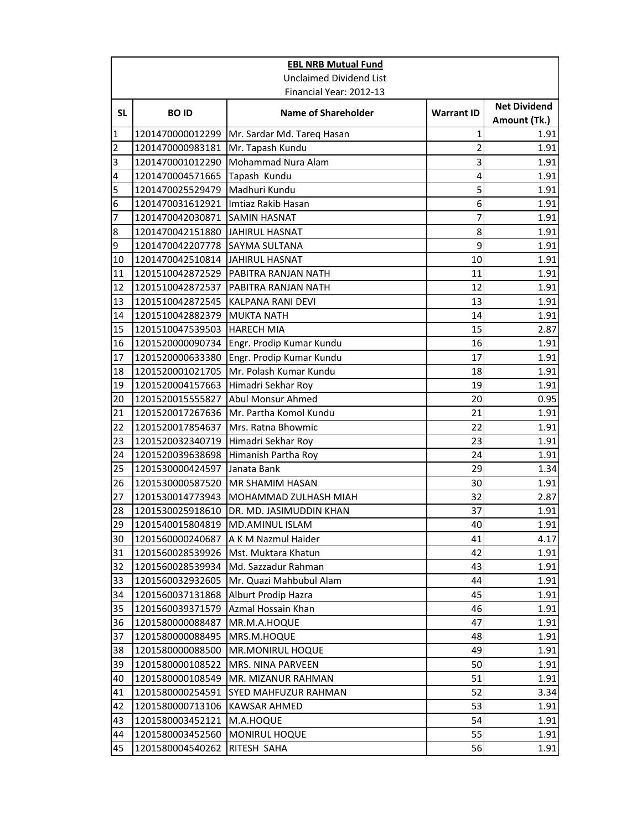|                | <b>EBL NRB Mutual Fund</b>           |                                            |                   |                                     |
|----------------|--------------------------------------|--------------------------------------------|-------------------|-------------------------------------|
|                |                                      | <b>Unclaimed Dividend List</b>             |                   |                                     |
|                |                                      | Financial Year: 2012-13                    |                   |                                     |
| <b>SL</b>      | <b>BOID</b>                          | <b>Name of Shareholder</b>                 | <b>Warrant ID</b> | <b>Net Dividend</b><br>Amount (Tk.) |
| $\mathbf{1}$   | 1201470000012299                     | Mr. Sardar Md. Tareq Hasan                 | 1                 | 1.91                                |
| $\overline{2}$ | 1201470000983181                     | Mr. Tapash Kundu                           | $\overline{2}$    | 1.91                                |
| 3              | 1201470001012290                     | Mohammad Nura Alam                         | 3                 | 1.91                                |
| 4              | 1201470004571665                     | Tapash Kundu                               | 4                 | 1.91                                |
| 5              | 1201470025529479                     | Madhuri Kundu                              | 5                 | 1.91                                |
| 6              | 1201470031612921                     | Imtiaz Rakib Hasan                         | 6                 | 1.91                                |
| 7              | 1201470042030871                     | <b>SAMIN HASNAT</b>                        | 7                 | 1.91                                |
| 8              | 1201470042151880                     | JAHIRUL HASNAT                             | 8                 | 1.91                                |
| 9              | 1201470042207778 SAYMA SULTANA       |                                            | 9                 | 1.91                                |
| 10             | 1201470042510814                     | <b>JAHIRUL HASNAT</b>                      | 10                | 1.91                                |
| 11             | 1201510042872529                     | PABITRA RANJAN NATH                        | 11                | 1.91                                |
| 12             | 1201510042872537                     | PABITRA RANJAN NATH                        | 12                | 1.91                                |
| 13             | 1201510042872545                     | <b>KALPANA RANI DEVI</b>                   | 13                | 1.91                                |
| 14             | 1201510042882379                     | <b>MUKTA NATH</b>                          | 14                | 1.91                                |
| 15             | 1201510047539503                     | <b>HARECH MIA</b>                          | 15                | 2.87                                |
| 16             | 1201520000090734                     | Engr. Prodip Kumar Kundu                   | 16                | 1.91                                |
| 17             | 1201520000633380                     | Engr. Prodip Kumar Kundu                   | 17                | 1.91                                |
| 18             | 1201520001021705                     | Mr. Polash Kumar Kundu                     | 18                | 1.91                                |
| 19             | 1201520004157663                     | Himadri Sekhar Roy                         | 19                | 1.91                                |
| 20             | 1201520015555827                     | Abul Monsur Ahmed                          | 20                | 0.95                                |
| 21             | 1201520017267636                     | Mr. Partha Komol Kundu                     | 21                | 1.91                                |
| 22             | 1201520017854637                     | Mrs. Ratna Bhowmic                         | 22                | 1.91                                |
| 23             | 1201520032340719                     | Himadri Sekhar Roy                         | 23                | 1.91                                |
| 24             | 1201520039638698                     | Himanish Partha Roy                        | 24                | 1.91                                |
| 25             | 1201530000424597                     | Janata Bank                                | 29                | 1.34                                |
| 26             | 1201530000587520                     | MR SHAMIM HASAN                            | 30                | 1.91                                |
| 27             | 1201530014773943                     | MOHAMMAD ZULHASH MIAH                      | 32                | 2.87                                |
| 28             | 1201530025918610                     | DR. MD. JASIMUDDIN KHAN                    | 37                | 1.91                                |
| 29             | 1201540015804819 MD.AMINUL ISLAM     |                                            | 40                | 1.91                                |
| 30             | 1201560000240687                     | A K M Nazmul Haider                        | 41                | 4.17                                |
| 31             | 1201560028539926                     | Mst. Muktara Khatun                        | 42                | 1.91                                |
| 32             | 1201560028539934                     | Md. Sazzadur Rahman                        | 43                | 1.91                                |
| 33             | 1201560032932605                     | Mr. Quazi Mahbubul Alam                    | 44                | 1.91                                |
| 34             | 1201560037131868                     | Alburt Prodip Hazra                        | 45                | 1.91                                |
| 35             | 1201560039371579                     | Azmal Hossain Khan                         | 46                | 1.91                                |
| 36             | 1201580000088487                     | MR.M.A.HOQUE                               | 47                | 1.91                                |
| 37             | 1201580000088495                     | MRS.M.HOQUE                                | 48<br>49          | 1.91                                |
| 38<br>39       | 1201580000088500                     | MR.MONIRUL HOQUE                           | 50                | 1.91<br>1.91                        |
|                | 1201580000108522                     | MRS. NINA PARVEEN                          | 51                |                                     |
| 40<br>41       | 1201580000108549<br>1201580000254591 | MR. MIZANUR RAHMAN<br>SYED MAHFUZUR RAHMAN | 52                | 1.91<br>3.34                        |
| 42             | 1201580000713106                     | KAWSAR AHMED                               | 53                | 1.91                                |
| 43             | 1201580003452121                     | M.A.HOQUE                                  | 54                | 1.91                                |
| 44             | 1201580003452560                     | <b>MONIRUL HOQUE</b>                       | 55                | 1.91                                |
| 45             | 1201580004540262                     | RITESH SAHA                                | 56                | 1.91                                |
|                |                                      |                                            |                   |                                     |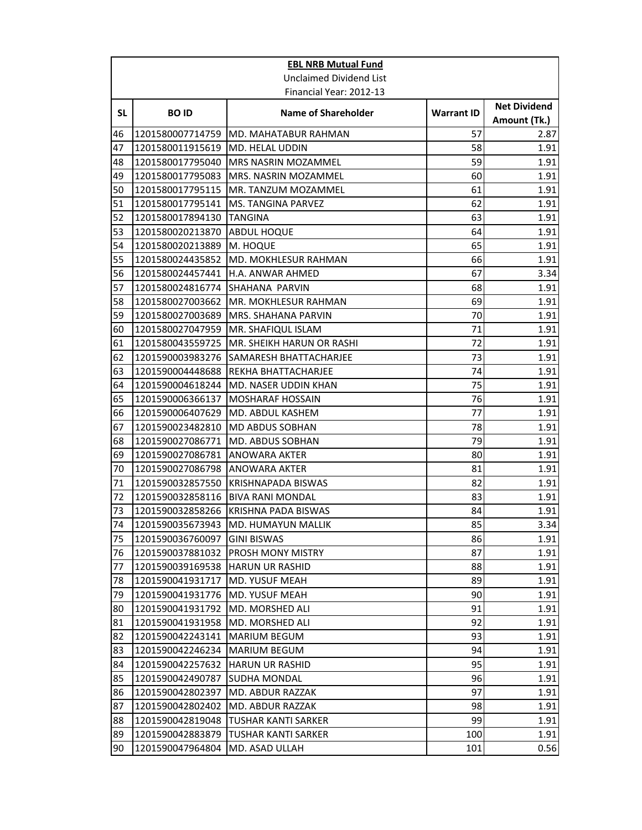|          | <b>EBL NRB Mutual Fund</b>           |                                            |                   |                                     |
|----------|--------------------------------------|--------------------------------------------|-------------------|-------------------------------------|
|          |                                      | Unclaimed Dividend List                    |                   |                                     |
|          |                                      | Financial Year: 2012-13                    |                   |                                     |
| SL.      | <b>BOID</b>                          | <b>Name of Shareholder</b>                 | <b>Warrant ID</b> | <b>Net Dividend</b><br>Amount (Tk.) |
| 46       | 1201580007714759                     | MD. MAHATABUR RAHMAN                       | 57                | 2.87                                |
| 47       | 1201580011915619                     | <b>MD. HELAL UDDIN</b>                     | 58                | 1.91                                |
| 48       | 1201580017795040                     | <b>MRS NASRIN MOZAMMEL</b>                 | 59                | 1.91                                |
| 49       | 1201580017795083                     | MRS. NASRIN MOZAMMEL                       | 60                | 1.91                                |
| 50       | 1201580017795115                     | MR. TANZUM MOZAMMEL                        | 61                | 1.91                                |
| 51       | 1201580017795141                     | <b>MS. TANGINA PARVEZ</b>                  | 62                | 1.91                                |
| 52       | 1201580017894130                     | <b>TANGINA</b>                             | 63                | 1.91                                |
| 53       | 1201580020213870                     | <b>ABDUL HOQUE</b>                         | 64                | 1.91                                |
| 54       | 1201580020213889                     | <b>M. HOQUE</b>                            | 65                | 1.91                                |
| 55       | 1201580024435852                     | MD. MOKHLESUR RAHMAN                       | 66                | 1.91                                |
| 56       | 1201580024457441                     | H.A. ANWAR AHMED                           | 67                | 3.34                                |
| 57       | 1201580024816774                     | SHAHANA PARVIN                             | 68                | 1.91                                |
| 58       | 1201580027003662                     | MR. MOKHLESUR RAHMAN                       | 69                | 1.91                                |
| 59       | 1201580027003689                     | MRS. SHAHANA PARVIN                        | 70                | 1.91                                |
| 60       | 1201580027047959                     | MR. SHAFIQUL ISLAM                         | 71                | 1.91                                |
| 61       | 1201580043559725                     | <b>I</b> MR. SHEIKH HARUN OR RASHI         | 72                | 1.91                                |
| 62       | 1201590003983276                     | ISAMARESH BHATTACHARJEE                    | 73                | 1.91                                |
| 63       | 1201590004448688                     | REKHA BHATTACHARJEE                        | 74                | 1.91                                |
| 64       | 1201590004618244                     | MD. NASER UDDIN KHAN                       | 75                | 1.91                                |
| 65       | 1201590006366137                     | <b>MOSHARAF HOSSAIN</b>                    | 76<br>77          | 1.91                                |
| 66       | 1201590006407629                     | <b>MD. ABDUL KASHEM</b>                    |                   | 1.91                                |
| 67<br>68 | 1201590023482810<br>1201590027086771 | MD ABDUS SOBHAN<br><b>MD. ABDUS SOBHAN</b> | 78<br>79          | 1.91<br>1.91                        |
| 69       | 1201590027086781                     | <b>ANOWARA AKTER</b>                       | 80                | 1.91                                |
| 70       | 1201590027086798                     | <b>ANOWARA AKTER</b>                       | 81                | 1.91                                |
| 71       | 1201590032857550                     | <b>KRISHNAPADA BISWAS</b>                  | 82                | 1.91                                |
| 72       | 1201590032858116   BIVA RANI MONDAL  |                                            | 83                | 1.91                                |
| 73       | 1201590032858266                     | <b>KRISHNA PADA BISWAS</b>                 | 84                | 1.91                                |
| 74       |                                      | 1201590035673943 MD. HUMAYUN MALLIK        | 85                | 3.34                                |
| 75       | 1201590036760097                     | <b>GINI BISWAS</b>                         | 86                | 1.91                                |
| 76       | 1201590037881032                     | PROSH MONY MISTRY                          | 87                | 1.91                                |
| 77       | 1201590039169538                     | <b>HARUN UR RASHID</b>                     | 88                | 1.91                                |
| 78       | 1201590041931717                     | MD. YUSUF MEAH                             | 89                | 1.91                                |
| 79       | 1201590041931776                     | <b>MD. YUSUF MEAH</b>                      | 90                | 1.91                                |
| 80       | 1201590041931792                     | <b>MD. MORSHED ALI</b>                     | 91                | 1.91                                |
| 81       | 1201590041931958                     | MD. MORSHED ALI                            | 92                | 1.91                                |
| 82       | 1201590042243141                     | <b>MARIUM BEGUM</b>                        | 93                | 1.91                                |
| 83       | 1201590042246234                     | <b>MARIUM BEGUM</b>                        | 94                | 1.91                                |
| 84       | 1201590042257632                     | <b>HARUN UR RASHID</b>                     | 95                | 1.91                                |
| 85       | 1201590042490787                     | SUDHA MONDAL                               | 96                | 1.91                                |
| 86       | 1201590042802397                     | MD. ABDUR RAZZAK                           | 97                | 1.91                                |
| 87       | 1201590042802402                     | MD. ABDUR RAZZAK                           | 98                | 1.91                                |
| 88       | 1201590042819048                     | TUSHAR KANTI SARKER                        | 99                | 1.91                                |
| 89       | 1201590042883879                     | <b>TUSHAR KANTI SARKER</b>                 | 100               | 1.91                                |
| 90       | 1201590047964804                     | MD. ASAD ULLAH                             | 101               | 0.56                                |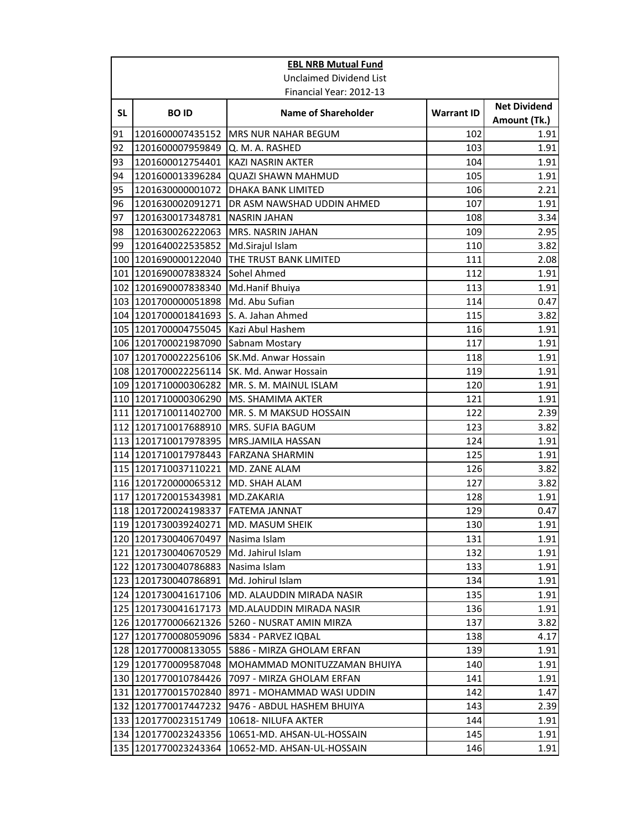|     | <b>EBL NRB Mutual Fund</b> |                                 |                   |                                     |  |
|-----|----------------------------|---------------------------------|-------------------|-------------------------------------|--|
|     |                            | <b>Unclaimed Dividend List</b>  |                   |                                     |  |
|     | Financial Year: 2012-13    |                                 |                   |                                     |  |
| SL. | <b>BOID</b>                | <b>Name of Shareholder</b>      | <b>Warrant ID</b> | <b>Net Dividend</b><br>Amount (Tk.) |  |
| 91  | 1201600007435152           | <b>MRS NUR NAHAR BEGUM</b>      | 102               | 1.91                                |  |
| 92  | 1201600007959849           | Q. M. A. RASHED                 | 103               | 1.91                                |  |
| 93  | 1201600012754401           | <b>KAZI NASRIN AKTER</b>        | 104               | 1.91                                |  |
| 94  | 1201600013396284           | <b>QUAZI SHAWN MAHMUD</b>       | 105               | 1.91                                |  |
| 95  | 1201630000001072           | <b>DHAKA BANK LIMITED</b>       | 106               | 2.21                                |  |
| 96  | 1201630002091271           | DR ASM NAWSHAD UDDIN AHMED      | 107               | 1.91                                |  |
| 97  | 1201630017348781           | <b>NASRIN JAHAN</b>             | 108               | 3.34                                |  |
| 98  | 1201630026222063           | MRS. NASRIN JAHAN               | 109               | 2.95                                |  |
| 99  | 1201640022535852           | Md.Sirajul Islam                | 110               | 3.82                                |  |
| 100 | 1201690000122040           | THE TRUST BANK LIMITED          | 111               | 2.08                                |  |
|     | 101 1201690007838324       | Sohel Ahmed                     | 112               | 1.91                                |  |
|     | 102 1201690007838340       | Md.Hanif Bhuiya                 | 113               | 1.91                                |  |
|     | 103 1201700000051898       | Md. Abu Sufian                  | 114               | 0.47                                |  |
|     | 104 1201700001841693       | S. A. Jahan Ahmed               | 115               | 3.82                                |  |
|     | 105 1201700004755045       | Kazi Abul Hashem                | 116               | 1.91                                |  |
|     | 106 1201700021987090       | Sabnam Mostary                  | 117               | 1.91                                |  |
|     | 107 1201700022256106       | SK.Md. Anwar Hossain            | 118               | 1.91                                |  |
|     | 108 1201700022256114       | SK. Md. Anwar Hossain           | 119               | 1.91                                |  |
|     | 109 1201710000306282       | MR. S. M. MAINUL ISLAM          | 120               | 1.91                                |  |
|     | 110 1201710000306290       | MS. SHAMIMA AKTER               | 121               | 1.91                                |  |
|     | 111 1201710011402700       | MR. S. M MAKSUD HOSSAIN         | 122               | 2.39                                |  |
|     | 112 1201710017688910       | MRS. SUFIA BAGUM                | 123               | 3.82                                |  |
|     | 113 1201710017978395       | MRS.JAMILA HASSAN               | 124               | 1.91                                |  |
|     | 114 1201710017978443       | <b>FARZANA SHARMIN</b>          | 125               | 1.91                                |  |
|     | 115 1201710037110221       | MD. ZANE ALAM                   | 126               | 3.82                                |  |
|     | 116 1201720000065312       | <b>MD. SHAH ALAM</b>            | 127               | 3.82                                |  |
|     | 117 1201720015343981       | <b>MD.ZAKARIA</b>               | 128               | 1.91                                |  |
|     | 118 1201720024198337       | <b>FATEMA JANNAT</b>            | 129               | 0.47                                |  |
|     | 119 1201730039240271       | MD. MASUM SHEIK                 | 130               | 1.91                                |  |
|     | 120   1201730040670497     | Nasima Islam                    | 131               | 1.91                                |  |
|     | 121 1201730040670529       | Md. Jahirul Islam               | 132               | 1.91                                |  |
|     | 122 1201730040786883       | Nasima Islam                    | 133               | 1.91                                |  |
|     | 123 1201730040786891       | Md. Johirul Islam               | 134               | 1.91                                |  |
|     | 124 1201730041617106       | MD. ALAUDDIN MIRADA NASIR       | 135               | 1.91                                |  |
|     | 125 1201730041617173       | <b>MD.ALAUDDIN MIRADA NASIR</b> | 136               | 1.91                                |  |
|     | 126 1201770006621326       | 5260 - NUSRAT AMIN MIRZA        | 137               | 3.82                                |  |
| 127 | 1201770008059096           | 5834 - PARVEZ IQBAL             | 138               | 4.17                                |  |
|     | 128 1201770008133055       | 5886 - MIRZA GHOLAM ERFAN       | 139               | 1.91                                |  |
|     | 129 1201770009587048       | MOHAMMAD MONITUZZAMAN BHUIYA    | 140               | 1.91                                |  |
|     | 130 1201770010784426       | 7097 - MIRZA GHOLAM ERFAN       | 141               | 1.91                                |  |
|     | 131 1201770015702840       | 8971 - MOHAMMAD WASI UDDIN      | 142               | 1.47                                |  |
|     | 132 1201770017447232       | 9476 - ABDUL HASHEM BHUIYA      | 143               | 2.39                                |  |
|     | 133 1201770023151749       | 10618- NILUFA AKTER             | 144               | 1.91                                |  |
|     | 134 1201770023243356       | 10651-MD. AHSAN-UL-HOSSAIN      | 145               | 1.91                                |  |
|     | 135 1201770023243364       | 10652-MD. AHSAN-UL-HOSSAIN      | 146               | 1.91                                |  |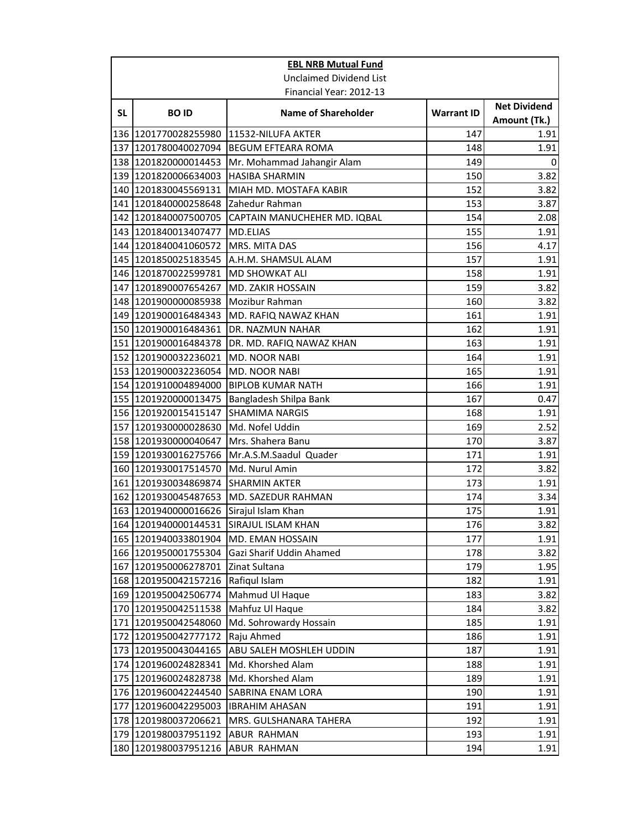|     | <b>EBL NRB Mutual Fund</b>                   |                                      |                   |                                     |
|-----|----------------------------------------------|--------------------------------------|-------------------|-------------------------------------|
|     |                                              | <b>Unclaimed Dividend List</b>       |                   |                                     |
|     |                                              | Financial Year: 2012-13              |                   |                                     |
| SL. | <b>BOID</b>                                  | <b>Name of Shareholder</b>           | <b>Warrant ID</b> | <b>Net Dividend</b><br>Amount (Tk.) |
|     | 136 1201770028255980                         | 11532-NILUFA AKTER                   | 147               | 1.91                                |
|     | 137 1201780040027094                         | <b>BEGUM EFTEARA ROMA</b>            | 148               | 1.91                                |
|     | 138 1201820000014453                         | Mr. Mohammad Jahangir Alam           | 149               | 0                                   |
|     | 139 1201820006634003                         | <b>HASIBA SHARMIN</b>                | 150               | 3.82                                |
|     | 140 1201830045569131                         | MIAH MD. MOSTAFA KABIR               | 152               | 3.82                                |
|     | 141 1201840000258648                         | Zahedur Rahman                       | 153               | 3.87                                |
|     | 142 1201840007500705                         | CAPTAIN MANUCHEHER MD. IQBAL         | 154               | 2.08                                |
|     | 143 1201840013407477                         | <b>MD.ELIAS</b>                      | 155               | 1.91                                |
|     | 144 1201840041060572                         | MRS. MITA DAS                        | 156               | 4.17                                |
|     | 145 1201850025183545                         | A.H.M. SHAMSUL ALAM                  | 157               | 1.91                                |
|     | 146 1201870022599781                         | <b>MD SHOWKAT ALI</b>                | 158               | 1.91                                |
|     | 147 1201890007654267                         | <b>MD. ZAKIR HOSSAIN</b>             | 159               | 3.82                                |
|     | 148 1201900000085938                         | Mozibur Rahman                       | 160               | 3.82                                |
|     | 149 1201900016484343                         | MD. RAFIQ NAWAZ KHAN                 | 161               | 1.91                                |
|     | 150 1201900016484361                         | DR. NAZMUN NAHAR                     | 162               | 1.91                                |
|     | 151 1201900016484378                         | DR. MD. RAFIQ NAWAZ KHAN             | 163               | 1.91                                |
|     | 152 1201900032236021                         | MD. NOOR NABI                        | 164               | 1.91                                |
|     | 153 1201900032236054                         | MD. NOOR NABI                        | 165               | 1.91                                |
|     | 154 1201910004894000                         | <b>BIPLOB KUMAR NATH</b>             | 166               | 1.91                                |
|     | 155 1201920000013475                         | Bangladesh Shilpa Bank               | 167               | 0.47                                |
|     | 156 1201920015415147                         | <b>SHAMIMA NARGIS</b>                | 168               | 1.91                                |
|     | 157 1201930000028630                         | Md. Nofel Uddin                      | 169               | 2.52                                |
|     | 158 1201930000040647                         | Mrs. Shahera Banu                    | 170               | 3.87                                |
|     | 159 1201930016275766                         | Mr.A.S.M.Saadul Quader               | 171               | 1.91                                |
|     | 160 1201930017514570                         | Md. Nurul Amin                       | 172               | 3.82                                |
|     | 161 1201930034869874                         | <b>SHARMIN AKTER</b>                 | 173               | 1.91                                |
|     | 162 1201930045487653                         | MD. SAZEDUR RAHMAN                   | 174               | 3.34                                |
|     | 163 1201940000016626                         | Sirajul Islam Khan                   | 175               | 1.91                                |
|     | 164 1201940000144531                         | SIRAJUL ISLAM KHAN                   | 176               | 3.82                                |
|     | 165  1201940033801904                        | MD. EMAN HOSSAIN                     | 177               | 1.91                                |
|     | 166 1201950001755304                         | Gazi Sharif Uddin Ahamed             | 178               | 3.82                                |
|     | 167 1201950006278701                         | Zinat Sultana                        | 179               | 1.95                                |
|     | 168 1201950042157216                         | Rafiqul Islam                        | 182               | 1.91                                |
|     | 169 1201950042506774                         | Mahmud Ul Haque                      | 183               | 3.82                                |
|     | 170 1201950042511538                         | Mahfuz Ul Haque                      | 184               | 3.82                                |
|     | 171 1201950042548060                         | Md. Sohrowardy Hossain<br>Raju Ahmed | 185               | 1.91<br>1.91                        |
|     | 172 1201950042777172<br>173 1201950043044165 | ABU SALEH MOSHLEH UDDIN              | 186<br>187        | 1.91                                |
|     | 174 1201960024828341                         | Md. Khorshed Alam                    | 188               | 1.91                                |
|     | 175 1201960024828738                         | Md. Khorshed Alam                    | 189               | 1.91                                |
|     | 176 1201960042244540                         | SABRINA ENAM LORA                    | 190               | 1.91                                |
| 177 | 1201960042295003                             | <b>IBRAHIM AHASAN</b>                | 191               | 1.91                                |
|     | 178 1201980037206621                         | MRS. GULSHANARA TAHERA               | 192               | 1.91                                |
|     | 179 1201980037951192                         | ABUR RAHMAN                          | 193               | 1.91                                |
|     | 180 1201980037951216                         | ABUR RAHMAN                          | 194               | 1.91                                |
|     |                                              |                                      |                   |                                     |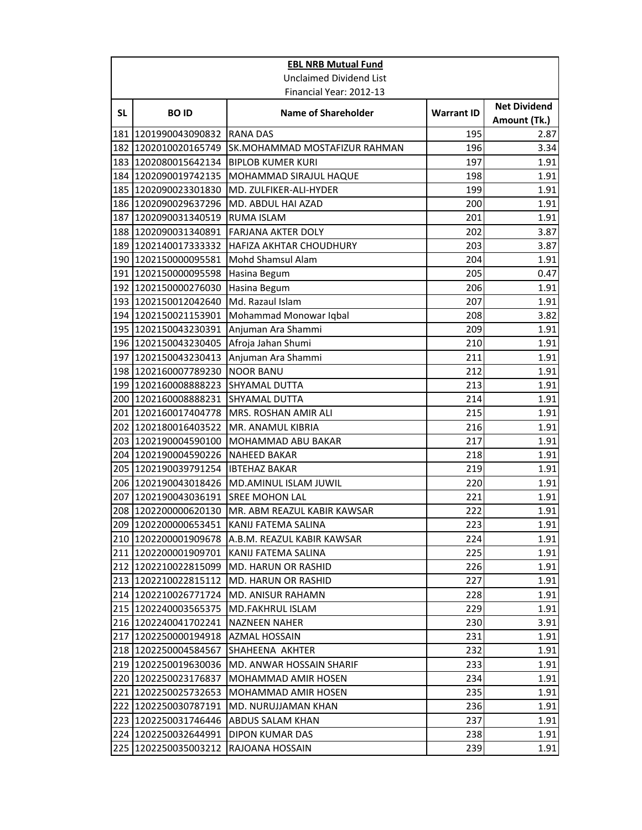|           | <b>EBL NRB Mutual Fund</b>         |                                            |                   |                                     |
|-----------|------------------------------------|--------------------------------------------|-------------------|-------------------------------------|
|           |                                    | <b>Unclaimed Dividend List</b>             |                   |                                     |
|           |                                    | Financial Year: 2012-13                    |                   |                                     |
| <b>SL</b> | <b>BOID</b>                        | <b>Name of Shareholder</b>                 | <b>Warrant ID</b> | <b>Net Dividend</b><br>Amount (Tk.) |
|           | 181 1201990043090832               | <b>RANA DAS</b>                            | 195               | 2.87                                |
|           | 182 1202010020165749               | SK.MOHAMMAD MOSTAFIZUR RAHMAN              | 196               | 3.34                                |
|           | 183 1202080015642134               | <b>BIPLOB KUMER KURI</b>                   | 197               | 1.91                                |
|           | 184 1202090019742135               | <b>MOHAMMAD SIRAJUL HAQUE</b>              | 198               | 1.91                                |
|           | 185 1202090023301830               | MD. ZULFIKER-ALI-HYDER                     | 199               | 1.91                                |
|           | 186 1202090029637296               | MD. ABDUL HAI AZAD                         | 200               | 1.91                                |
|           | 187 1202090031340519               | <b>RUMA ISLAM</b>                          | 201               | 1.91                                |
|           | 188 1202090031340891               | <b>FARJANA AKTER DOLY</b>                  | 202               | 3.87                                |
|           | 189 1202140017333332               | HAFIZA AKHTAR CHOUDHURY                    | 203               | 3.87                                |
|           | 190 1202150000095581               | Mohd Shamsul Alam                          | 204               | 1.91                                |
|           | 191 1202150000095598               | Hasina Begum                               | 205               | 0.47                                |
|           | 192 1202150000276030               | Hasina Begum                               | 206               | 1.91                                |
|           | 193 1202150012042640               | Md. Razaul Islam                           | 207               | 1.91                                |
|           | 194 1202150021153901               | Mohammad Monowar Iqbal                     | 208               | 3.82                                |
|           | 195 1202150043230391               | Anjuman Ara Shammi                         | 209               | 1.91                                |
|           | 196 1202150043230405               | Afroja Jahan Shumi                         | 210               | 1.91                                |
|           | 197 1202150043230413               | Anjuman Ara Shammi                         | 211               | 1.91                                |
|           | 198 1202160007789230               | <b>NOOR BANU</b>                           | 212               | 1.91                                |
|           | 199 1202160008888223               | <b>SHYAMAL DUTTA</b>                       | 213               | 1.91                                |
|           | 200 1202160008888231               | <b>SHYAMAL DUTTA</b>                       | 214               | 1.91                                |
|           | 201 1202160017404778               | MRS. ROSHAN AMIR ALI                       | 215               | 1.91                                |
|           | 202 1202180016403522               | MR. ANAMUL KIBRIA                          | 216               | 1.91                                |
|           | 203 1202190004590100               | MOHAMMAD ABU BAKAR                         | 217               | 1.91                                |
|           | 204 1202190004590226               | <b>NAHEED BAKAR</b>                        | 218               | 1.91                                |
|           | 205 1202190039791254 IBTEHAZ BAKAR |                                            | 219               | 1.91                                |
|           |                                    | 206 1202190043018426 MD.AMINUL ISLAM JUWIL | 220               | 1.91                                |
|           | 207 1202190043036191               | <b>SREE MOHON LAL</b>                      | 221               | 1.91                                |
|           | 208 1202200000620130               | MR. ABM REAZUL KABIR KAWSAR                | 222               | 1.91                                |
|           | 209 1202200000653451               | KANIJ FATEMA SALINA                        | 223               | 1.91                                |
|           | 210 1202200001909678               | A.B.M. REAZUL KABIR KAWSAR                 | 224               | 1.91                                |
|           | 211   1202200001909701             | KANIJ FATEMA SALINA                        | 225               | 1.91                                |
|           | 212 1202210022815099               | MD. HARUN OR RASHID                        | 226               | 1.91                                |
|           | 213 1202210022815112               | MD. HARUN OR RASHID                        | 227               | 1.91                                |
|           | 214 1202210026771724               | MD. ANISUR RAHAMN                          | 228               | 1.91                                |
|           | 215 1202240003565375               | <b>MD.FAKHRUL ISLAM</b>                    | 229               | 1.91                                |
|           | 216 1202240041702241               | <b>NAZNEEN NAHER</b>                       | 230               | 3.91                                |
|           | 217   1202250000194918             | AZMAL HOSSAIN                              | 231               | 1.91                                |
|           | 218 1202250004584567               | SHAHEENA AKHTER                            | 232               | 1.91                                |
|           | 219 1202250019630036               | MD. ANWAR HOSSAIN SHARIF                   | 233               | 1.91                                |
|           | 220 1202250023176837               | MOHAMMAD AMIR HOSEN                        | 234               | 1.91                                |
|           | 221 1202250025732653               | MOHAMMAD AMIR HOSEN                        | 235               | 1.91                                |
|           | 222 1202250030787191               | MD. NURUJJAMAN KHAN                        | 236               | 1.91                                |
|           | 223 1202250031746446               | <b>ABDUS SALAM KHAN</b>                    | 237               | 1.91                                |
|           | 224 1202250032644991               | DIPON KUMAR DAS                            | 238               | 1.91                                |
|           | 225 1202250035003212               | RAJOANA HOSSAIN                            | 239               | 1.91                                |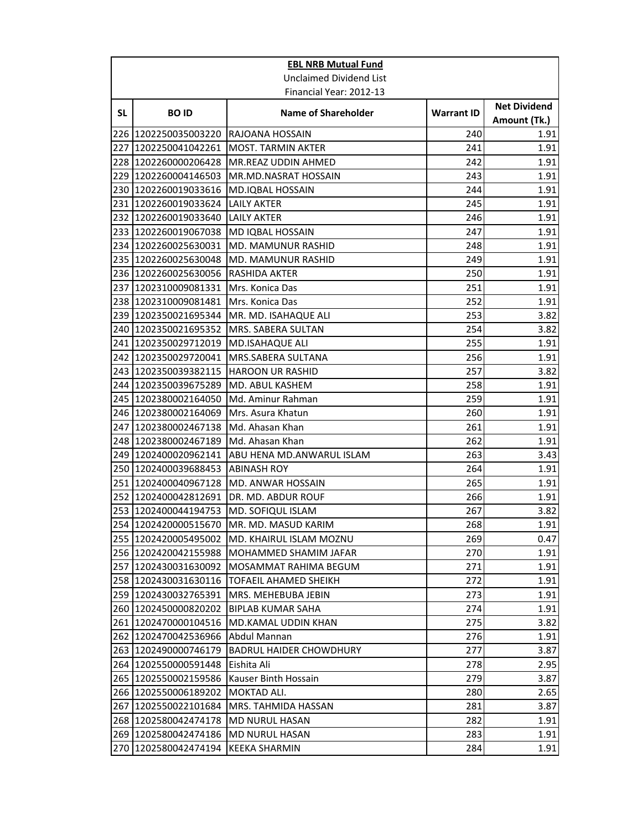|     | <b>EBL NRB Mutual Fund</b>               |                                          |                   |                                     |
|-----|------------------------------------------|------------------------------------------|-------------------|-------------------------------------|
|     |                                          | Unclaimed Dividend List                  |                   |                                     |
|     |                                          | Financial Year: 2012-13                  |                   |                                     |
| SL  | <b>BOID</b>                              | <b>Name of Shareholder</b>               | <b>Warrant ID</b> | <b>Net Dividend</b><br>Amount (Tk.) |
|     | 226 1202250035003220                     | RAJOANA HOSSAIN                          | 240               | 1.91                                |
|     | 227 1202250041042261                     | <b>MOST. TARMIN AKTER</b>                | 241               | 1.91                                |
|     | 228 1202260000206428                     | <b>MR.REAZ UDDIN AHMED</b>               | 242               | 1.91                                |
|     | 229 1202260004146503                     | MR.MD.NASRAT HOSSAIN                     | 243               | 1.91                                |
|     | 230 1202260019033616                     | MD.IQBAL HOSSAIN                         | 244               | 1.91                                |
|     | 231 1202260019033624                     | <b>LAILY AKTER</b>                       | 245               | 1.91                                |
|     | 232 1202260019033640                     | <b>LAILY AKTER</b>                       | 246               | 1.91                                |
|     | 233 1202260019067038                     | MD IQBAL HOSSAIN                         | 247               | 1.91                                |
|     | 234 1202260025630031                     | MD. MAMUNUR RASHID                       | 248               | 1.91                                |
|     | 235 1202260025630048                     | MD. MAMUNUR RASHID                       | 249               | 1.91                                |
|     | 236 1202260025630056                     | <b>RASHIDA AKTER</b>                     | 250               | 1.91                                |
|     | 237 1202310009081331                     | Mrs. Konica Das                          | 251               | 1.91                                |
|     | 238 1202310009081481                     | Mrs. Konica Das                          | 252               | 1.91                                |
|     | 239 1202350021695344                     | MR. MD. ISAHAQUE ALI                     | 253               | 3.82                                |
|     | 240 1202350021695352                     | MRS. SABERA SULTAN                       | 254               | 3.82                                |
|     | 241  1202350029712019                    | <b>MD.ISAHAQUE ALI</b>                   | 255               | 1.91                                |
|     | 242 1202350029720041                     | MRS.SABERA SULTANA                       | 256               | 1.91                                |
|     | 243 1202350039382115                     | <b>HAROON UR RASHID</b>                  | 257               | 3.82                                |
|     | 244 1202350039675289                     | MD. ABUL KASHEM                          | 258               | 1.91                                |
|     | 245 1202380002164050                     | Md. Aminur Rahman                        | 259               | 1.91                                |
|     | 246 1202380002164069                     | Mrs. Asura Khatun                        | 260               | 1.91                                |
|     | 247 1202380002467138                     | Md. Ahasan Khan                          | 261               | 1.91                                |
|     | 248 1202380002467189                     | Md. Ahasan Khan                          | 262               | 1.91                                |
|     | 249 1202400020962141                     | ABU HENA MD.ANWARUL ISLAM                | 263               | 3.43                                |
|     | 250 1202400039688453                     | <b>ABINASH ROY</b>                       | 264               | 1.91                                |
|     | 251 1202400040967128                     | <b>MD. ANWAR HOSSAIN</b>                 | 265               | 1.91                                |
|     | 252 1202400042812691                     | DR. MD. ABDUR ROUF                       | 266               | 1.91                                |
|     | 253 1202400044194753                     | MD. SOFIQUL ISLAM                        | 267               | 3.82                                |
|     |                                          | 254 1202420000515670 MR. MD. MASUD KARIM | 268               | 1.91                                |
|     | 255 1202420005495002                     | IMD. KHAIRUL ISLAM MOZNU                 | 269               | 0.47                                |
|     | 256 1202420042155988                     | MOHAMMED SHAMIM JAFAR                    | 270               | 1.91                                |
|     | 257 1202430031630092                     | MOSAMMAT RAHIMA BEGUM                    | 271               | 1.91                                |
|     | 258 1202430031630116                     | TOFAEIL AHAMED SHEIKH                    | 272               | 1.91                                |
|     | 259 1202430032765391                     | MRS. MEHEBUBA JEBIN                      | 273               | 1.91                                |
|     | 260 1202450000820202                     | <b>BIPLAB KUMAR SAHA</b>                 | 274               | 1.91                                |
|     | 261 1202470000104516                     | <b>MD.KAMAL UDDIN KHAN</b>               | 275               | 3.82                                |
|     | 262 1202470042536966                     | Abdul Mannan                             | 276               | 1.91                                |
|     | 263 1202490000746179                     | <b>BADRUL HAIDER CHOWDHURY</b>           | 277               | 3.87                                |
|     | 264 1202550000591448                     | Eishita Ali                              | 278               | 2.95                                |
|     | 265 1202550002159586                     | Kauser Binth Hossain                     | 279               | 3.87                                |
| 267 | 266 1202550006189202                     | MOKTAD ALI.                              | 280               | 2.65                                |
|     | 1202550022101684<br>268 1202580042474178 | MRS. TAHMIDA HASSAN<br>MD NURUL HASAN    | 281<br>282        | 3.87<br>1.91                        |
|     | 269 1202580042474186                     | <b>MD NURUL HASAN</b>                    | 283               | 1.91                                |
|     |                                          |                                          |                   |                                     |
|     | 270 1202580042474194                     | <b>KEEKA SHARMIN</b>                     | 284               | 1.91                                |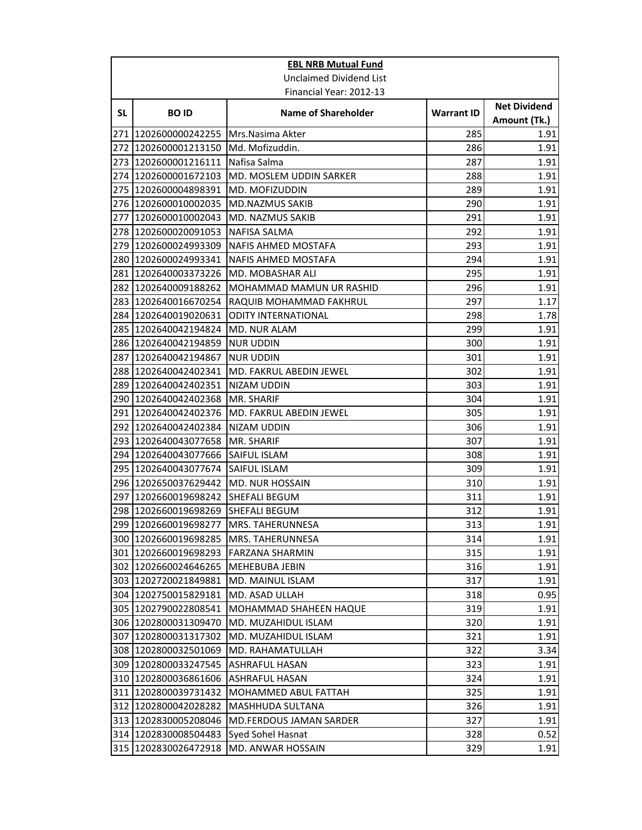|    | <b>EBL NRB Mutual Fund</b>            |                                 |                   |                                     |
|----|---------------------------------------|---------------------------------|-------------------|-------------------------------------|
|    |                                       | <b>Unclaimed Dividend List</b>  |                   |                                     |
|    |                                       | Financial Year: 2012-13         |                   |                                     |
| SL | <b>BOID</b>                           | <b>Name of Shareholder</b>      | <b>Warrant ID</b> | <b>Net Dividend</b><br>Amount (Tk.) |
|    | 271 1202600000242255                  | Mrs.Nasima Akter                | 285               | 1.91                                |
|    | 272 1202600001213150                  | Md. Mofizuddin.                 | 286               | 1.91                                |
|    | 273 1202600001216111                  | Nafisa Salma                    | 287               | 1.91                                |
|    | 274 1202600001672103                  | MD. MOSLEM UDDIN SARKER         | 288               | 1.91                                |
|    | 275 1202600004898391                  | MD. MOFIZUDDIN                  | 289               | 1.91                                |
|    | 276 1202600010002035                  | <b>MD.NAZMUS SAKIB</b>          | 290               | 1.91                                |
|    | 277 1202600010002043                  | <b>MD. NAZMUS SAKIB</b>         | 291               | 1.91                                |
|    | 278 1202600020091053                  | <b>NAFISA SALMA</b>             | 292               | 1.91                                |
|    | 279 1202600024993309                  | NAFIS AHMED MOSTAFA             | 293               | 1.91                                |
|    | 280 1202600024993341                  | NAFIS AHMED MOSTAFA             | 294               | 1.91                                |
|    | 281 1202640003373226                  | <b>MD. MOBASHAR ALI</b>         | 295               | 1.91                                |
|    | 282 1202640009188262                  | <b>MOHAMMAD MAMUN UR RASHID</b> | 296               | 1.91                                |
|    | 283 1202640016670254                  | RAQUIB MOHAMMAD FAKHRUL         | 297               | 1.17                                |
|    | 284 1202640019020631                  | ODITY INTERNATIONAL             | 298               | 1.78                                |
|    | 285 1202640042194824                  | MD. NUR ALAM                    | 299               | 1.91                                |
|    | 286 1202640042194859                  | <b>NUR UDDIN</b>                | 300               | 1.91                                |
|    | 287 1202640042194867                  | <b>NUR UDDIN</b>                | 301               | 1.91                                |
|    | 288 1202640042402341                  | MD. FAKRUL ABEDIN JEWEL         | 302               | 1.91                                |
|    | 289 1202640042402351                  | NIZAM UDDIN                     | 303               | 1.91                                |
|    | 290 1202640042402368                  | MR. SHARIF                      | 304               | 1.91                                |
|    | 291 1202640042402376                  | MD. FAKRUL ABEDIN JEWEL         | 305               | 1.91                                |
|    | 292 1202640042402384                  | <b>NIZAM UDDIN</b>              | 306               | 1.91                                |
|    | 293 1202640043077658                  | MR. SHARIF                      | 307               | 1.91                                |
|    | 294 1202640043077666                  | <b>SAIFUL ISLAM</b>             | 308               | 1.91                                |
|    | 295 1202640043077674                  | <b>SAIFUL ISLAM</b>             | 309               | 1.91                                |
|    | 296 1202650037629442                  | <b>MD. NUR HOSSAIN</b>          | 310               | 1.91                                |
|    | 297 1202660019698242                  | <b>SHEFALI BEGUM</b>            | 311               | 1.91                                |
|    | 298 1202660019698269                  | <b>SHEFALI BEGUM</b>            | 312               | 1.91                                |
|    | 299 1202660019698277 MRS. TAHERUNNESA |                                 | 313               | 1.91                                |
|    | 300 1202660019698285                  | <b>MRS. TAHERUNNESA</b>         | 314               | 1.91                                |
|    | 301  1202660019698293                 | FARZANA SHARMIN                 | 315               | 1.91                                |
|    | 302  1202660024646265                 | <b>MEHEBUBA JEBIN</b>           | 316               | 1.91                                |
|    | 303 1202720021849881                  | MD. MAINUL ISLAM                | 317               | 1.91                                |
|    | 304 1202750015829181                  | MD. ASAD ULLAH                  | 318               | 0.95                                |
|    | 305 1202790022808541                  | MOHAMMAD SHAHEEN HAQUE          | 319               | 1.91                                |
|    | 306 1202800031309470                  | MD. MUZAHIDUL ISLAM             | 320               | 1.91                                |
|    | 307 1202800031317302                  | MD. MUZAHIDUL ISLAM             | 321               | 1.91                                |
|    | 308 1202800032501069                  | MD. RAHAMATULLAH                | 322               | 3.34                                |
|    | 309 1202800033247545                  | ASHRAFUL HASAN                  | 323               | 1.91                                |
|    | 310 1202800036861606                  | ASHRAFUL HASAN                  | 324               | 1.91                                |
|    | 311 1202800039731432                  | MOHAMMED ABUL FATTAH            | 325               | 1.91                                |
|    | 312 1202800042028282                  | MASHHUDA SULTANA                | 326               | 1.91                                |
|    | 313 1202830005208046                  | MD.FERDOUS JAMAN SARDER         | 327<br>328        | 1.91<br>0.52                        |
|    | 314 1202830008504483                  | Syed Sohel Hasnat               |                   |                                     |
|    | 315 1202830026472918                  | MD. ANWAR HOSSAIN               | 329               | 1.91                                |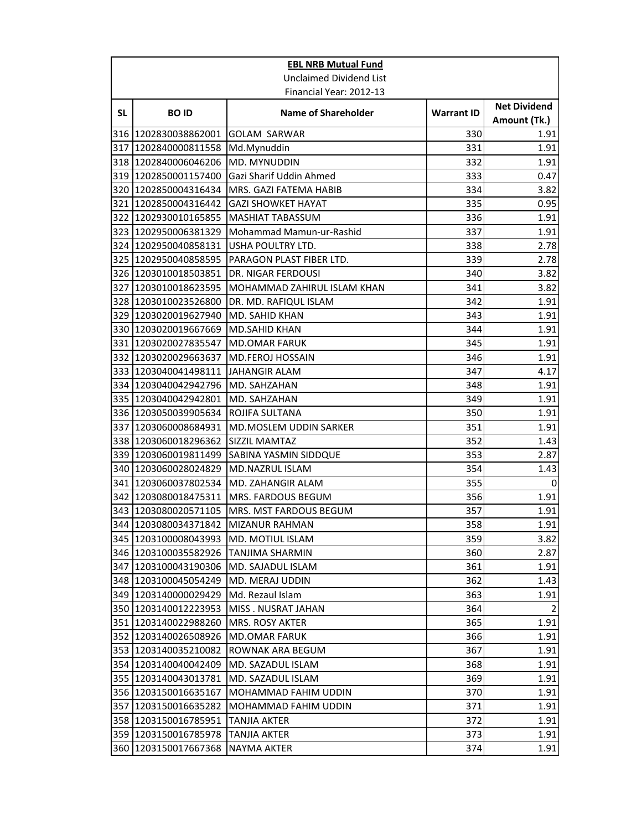|     | <b>EBL NRB Mutual Fund</b> |                               |                   |                                     |
|-----|----------------------------|-------------------------------|-------------------|-------------------------------------|
|     |                            | Unclaimed Dividend List       |                   |                                     |
|     |                            | Financial Year: 2012-13       |                   |                                     |
| SL  | <b>BOID</b>                | <b>Name of Shareholder</b>    | <b>Warrant ID</b> | <b>Net Dividend</b><br>Amount (Tk.) |
|     | 316 1202830038862001       | <b>GOLAM SARWAR</b>           | 330               | 1.91                                |
|     | 317 1202840000811558       | Md.Mynuddin                   | 331               | 1.91                                |
|     | 318 1202840006046206       | MD. MYNUDDIN                  | 332               | 1.91                                |
|     | 319 1202850001157400       | Gazi Sharif Uddin Ahmed       | 333               | 0.47                                |
|     | 320 1202850004316434       | MRS. GAZI FATEMA HABIB        | 334               | 3.82                                |
|     | 321 1202850004316442       | <b>GAZI SHOWKET HAYAT</b>     | 335               | 0.95                                |
|     | 322 1202930010165855       | <b>MASHIAT TABASSUM</b>       | 336               | 1.91                                |
|     | 323 1202950006381329       | Mohammad Mamun-ur-Rashid      | 337               | 1.91                                |
|     | 324 1202950040858131       | USHA POULTRY LTD.             | 338               | 2.78                                |
|     | 325 1202950040858595       | PARAGON PLAST FIBER LTD.      | 339               | 2.78                                |
|     | 326 1203010018503851       | DR. NIGAR FERDOUSI            | 340               | 3.82                                |
|     | 327 1203010018623595       | MOHAMMAD ZAHIRUL ISLAM KHAN   | 341               | 3.82                                |
|     | 328 1203010023526800       | DR. MD. RAFIQUL ISLAM         | 342               | 1.91                                |
|     | 329 1203020019627940       | MD. SAHID KHAN                | 343               | 1.91                                |
|     | 330 1203020019667669       | MD.SAHID KHAN                 | 344               | 1.91                                |
|     | 331 1203020027835547       | <b>MD.OMAR FARUK</b>          | 345               | 1.91                                |
|     | 332 1203020029663637       | <b>MD.FEROJ HOSSAIN</b>       | 346               | 1.91                                |
|     | 333 1203040041498111       | <b>JAHANGIR ALAM</b>          | 347               | 4.17                                |
|     | 334 1203040042942796       | MD. SAHZAHAN                  | 348               | 1.91                                |
|     | 335 1203040042942801       | MD. SAHZAHAN                  | 349               | 1.91                                |
|     | 336 1203050039905634       | <b>ROJIFA SULTANA</b>         | 350               | 1.91                                |
|     | 337 1203060008684931       | MD.MOSLEM UDDIN SARKER        | 351               | 1.91                                |
|     | 338 1203060018296362       | SIZZIL MAMTAZ                 | 352               | 1.43                                |
|     | 339 1203060019811499       | SABINA YASMIN SIDDQUE         | 353               | 2.87                                |
|     | 340 1203060028024829       | MD.NAZRUL ISLAM               | 354               | 1.43                                |
|     | 341  1203060037802534      | MD. ZAHANGIR ALAM             | 355               | 0                                   |
|     | 342 1203080018475311       | <b>MRS. FARDOUS BEGUM</b>     | 356               | 1.91                                |
|     | 343 1203080020571105       | <b>MRS. MST FARDOUS BEGUM</b> | 357               | 1.91                                |
|     | 344 1203080034371842       | MIZANUR RAHMAN                | 358               | 1.91                                |
|     | 345  1203100008043993      | <b>MD. MOTIUL ISLAM</b>       | 359               | 3.82                                |
|     | 346 1203100035582926       | TANJIMA SHARMIN               | 360               | 2.87                                |
|     | 347  1203100043190306      | MD. SAJADUL ISLAM             | 361               | 1.91                                |
|     | 348 1203100045054249       | MD. MERAJ UDDIN               | 362               | 1.43                                |
|     | 349 1203140000029429       | Md. Rezaul Islam              | 363               | 1.91                                |
|     | 350 1203140012223953       | MISS . NUSRAT JAHAN           | 364               | $\overline{2}$                      |
|     | 351 1203140022988260       | <b>MRS. ROSY AKTER</b>        | 365               | 1.91                                |
|     | 352 1203140026508926       | <b>MD.OMAR FARUK</b>          | 366               | 1.91                                |
|     | 353 1203140035210082       | ROWNAK ARA BEGUM              | 367               | 1.91                                |
|     | 354 1203140040042409       | MD. SAZADUL ISLAM             | 368               | 1.91                                |
|     | 355 1203140043013781       | MD. SAZADUL ISLAM             | 369               | 1.91                                |
|     | 356 1203150016635167       | MOHAMMAD FAHIM UDDIN          | 370               | 1.91                                |
| 357 | 1203150016635282           | MOHAMMAD FAHIM UDDIN          | 371               | 1.91                                |
|     | 358 1203150016785951       | TANJIA AKTER                  | 372               | 1.91                                |
|     | 359 1203150016785978       | TANJIA AKTER                  | 373               | 1.91                                |
|     | 360 1203150017667368       | NAYMA AKTER                   | 374               | 1.91                                |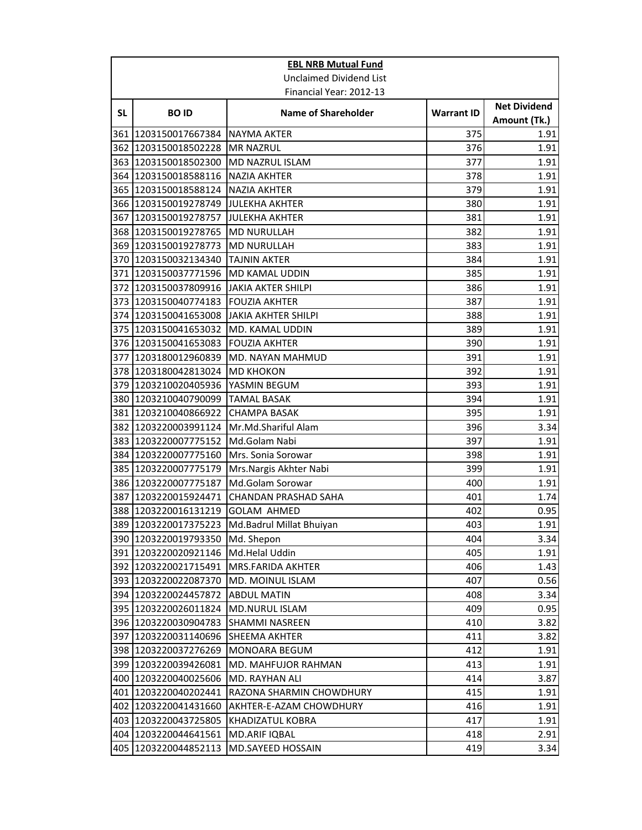|           | <b>EBL NRB Mutual Fund</b>          |                                               |                   |                                     |
|-----------|-------------------------------------|-----------------------------------------------|-------------------|-------------------------------------|
|           |                                     | <b>Unclaimed Dividend List</b>                |                   |                                     |
|           |                                     | Financial Year: 2012-13                       |                   |                                     |
| <b>SL</b> | <b>BOID</b>                         | <b>Name of Shareholder</b>                    | <b>Warrant ID</b> | <b>Net Dividend</b><br>Amount (Tk.) |
|           | 361 1203150017667384                | <b>NAYMA AKTER</b>                            | 375               | 1.91                                |
|           | 362 1203150018502228                | <b>MR NAZRUL</b>                              | 376               | 1.91                                |
|           | 363 1203150018502300                | MD NAZRUL ISLAM                               | 377               | 1.91                                |
|           | 364 1203150018588116                | <b>NAZIA AKHTER</b>                           | 378               | 1.91                                |
|           | 365 1203150018588124                | <b>NAZIA AKHTER</b>                           | 379               | 1.91                                |
|           | 366 1203150019278749                | <b>JULEKHA AKHTER</b>                         | 380               | 1.91                                |
|           | 367 1203150019278757                | <b>JULEKHA AKHTER</b>                         | 381               | 1.91                                |
|           | 368 1203150019278765                | <b>MD NURULLAH</b>                            | 382               | 1.91                                |
|           | 369 1203150019278773                | <b>MD NURULLAH</b>                            | 383               | 1.91                                |
|           | 370 1203150032134340                | <b>TAJNIN AKTER</b>                           | 384               | 1.91                                |
|           | 371 1203150037771596 MD KAMAL UDDIN |                                               | 385               | 1.91                                |
|           | 372 1203150037809916                | <b>JAKIA AKTER SHILPI</b>                     | 386               | 1.91                                |
|           | 373 1203150040774183                | <b>FOUZIA AKHTER</b>                          | 387               | 1.91                                |
|           | 374 1203150041653008                | <b>JAKIA AKHTER SHILPI</b>                    | 388               | 1.91                                |
|           | 375 1203150041653032                | MD. KAMAL UDDIN                               | 389               | 1.91                                |
|           | 376 1203150041653083                | <b>FOUZIA AKHTER</b>                          | 390               | 1.91                                |
|           |                                     | 377 1203180012960839 MD. NAYAN MAHMUD         | 391               | 1.91                                |
|           | 378 1203180042813024                | <b>MD KHOKON</b>                              | 392               | 1.91                                |
|           | 379 1203210020405936                | YASMIN BEGUM                                  | 393               | 1.91                                |
|           | 380 1203210040790099                | <b>TAMAL BASAK</b>                            | 394               | 1.91                                |
|           | 381 1203210040866922                | <b>CHAMPA BASAK</b>                           | 395               | 1.91                                |
|           | 382 1203220003991124                | Mr.Md.Shariful Alam                           | 396               | 3.34                                |
|           | 383 1203220007775152                | Md.Golam Nabi                                 | 397               | 1.91                                |
|           | 384 1203220007775160                | Mrs. Sonia Sorowar                            | 398               | 1.91                                |
|           | 385 1203220007775179                | Mrs. Nargis Akhter Nabi                       | 399               | 1.91                                |
|           | 386 1203220007775187                | Md.Golam Sorowar                              | 400               | 1.91                                |
|           | 387 1203220015924471                | <b>CHANDAN PRASHAD SAHA</b>                   | 401               | 1.74                                |
|           | 388 1203220016131219                | <b>GOLAM AHMED</b>                            | 402               | 0.95                                |
|           |                                     | 389 1203220017375223 Md.Badrul Millat Bhuiyan | 403               | 1.91                                |
|           | 390 1203220019793350                | Md. Shepon                                    | 404               | 3.34                                |
|           | 391 1203220020921146                | Md.Helal Uddin                                | 405               | 1.91                                |
|           | 392 1203220021715491                | <b>MRS.FARIDA AKHTER</b>                      | 406               | 1.43                                |
|           | 393 1203220022087370                | MD. MOINUL ISLAM                              | 407               | 0.56                                |
|           | 394 1203220024457872                | <b>ABDUL MATIN</b>                            | 408               | 3.34                                |
|           | 395 1203220026011824                | MD.NURUL ISLAM                                | 409               | 0.95                                |
|           | 396 1203220030904783                | <b>SHAMMI NASREEN</b>                         | 410               | 3.82                                |
|           | 397 1203220031140696                | <b>SHEEMA AKHTER</b>                          | 411               | 3.82                                |
|           | 398 1203220037276269                | <b>MONOARA BEGUM</b>                          | 412               | 1.91                                |
|           | 399 1203220039426081                | MD. MAHFUJOR RAHMAN                           | 413               | 1.91                                |
|           | 400 1203220040025606                | MD. RAYHAN ALI                                | 414               | 3.87                                |
| 401       | 1203220040202441                    | RAZONA SHARMIN CHOWDHURY                      | 415               | 1.91                                |
|           | 402 1203220041431660                | AKHTER-E-AZAM CHOWDHURY                       | 416               | 1.91                                |
|           | 403 1203220043725805                | <b>KHADIZATUL KOBRA</b>                       | 417               | 1.91                                |
|           | 404 1203220044641561                | MD.ARIF IQBAL                                 | 418               | 2.91                                |
| 405       | 1203220044852113                    | MD.SAYEED HOSSAIN                             | 419               | 3.34                                |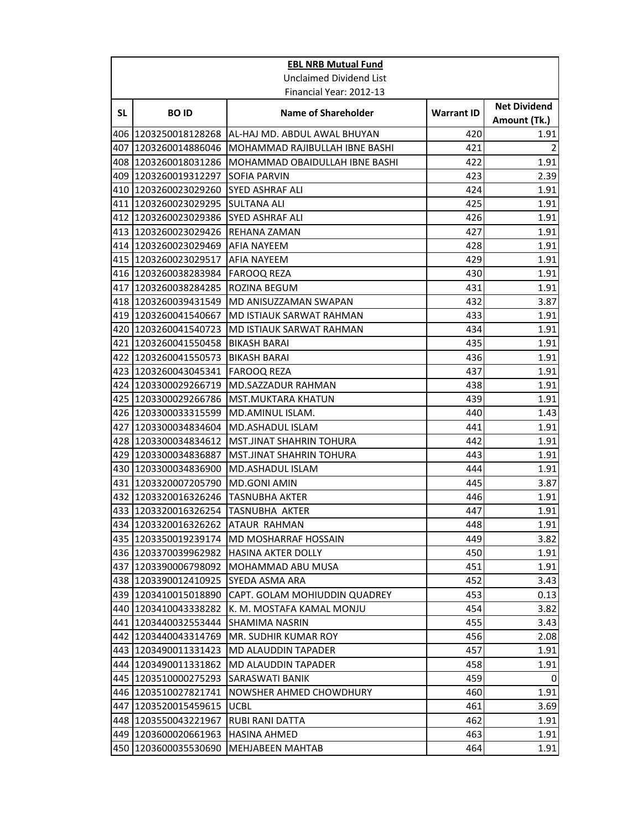|    | <b>EBL NRB Mutual Fund</b>                   |                                       |                   |                                     |
|----|----------------------------------------------|---------------------------------------|-------------------|-------------------------------------|
|    |                                              | <b>Unclaimed Dividend List</b>        |                   |                                     |
|    |                                              | Financial Year: 2012-13               |                   |                                     |
| SL | <b>BOID</b>                                  | <b>Name of Shareholder</b>            | <b>Warrant ID</b> | <b>Net Dividend</b><br>Amount (Tk.) |
|    | 406 1203250018128268                         | IAL-HAJ MD. ABDUL AWAL BHUYAN         | 420               | 1.91                                |
|    | 407 1203260014886046                         | MOHAMMAD RAJIBULLAH IBNE BASHI        | 421               | $\overline{2}$                      |
|    | 408 1203260018031286                         | <b>MOHAMMAD OBAIDULLAH IBNE BASHI</b> | 422               | 1.91                                |
|    | 409 1203260019312297                         | <b>SOFIA PARVIN</b>                   | 423               | 2.39                                |
|    | 410 1203260023029260                         | <b>SYED ASHRAF ALI</b>                | 424               | 1.91                                |
|    | 411 1203260023029295                         | <b>SULTANA ALI</b>                    | 425               | 1.91                                |
|    | 412 1203260023029386                         | <b>SYED ASHRAF ALI</b>                | 426               | 1.91                                |
|    | 413 1203260023029426                         | REHANA ZAMAN                          | 427               | 1.91                                |
|    | 414 1203260023029469                         | <b>AFIA NAYEEM</b>                    | 428               | 1.91                                |
|    | 415 1203260023029517                         | <b>AFIA NAYEEM</b>                    | 429               | 1.91                                |
|    | 416 1203260038283984                         | <b>FAROOQ REZA</b>                    | 430               | 1.91                                |
|    | 417 1203260038284285                         | <b>ROZINA BEGUM</b>                   | 431               | 1.91                                |
|    | 418 1203260039431549                         | MD ANISUZZAMAN SWAPAN                 | 432               | 3.87                                |
|    | 419 1203260041540667                         | MD ISTIAUK SARWAT RAHMAN              | 433               | 1.91                                |
|    | 420 1203260041540723                         | <b>MD ISTIAUK SARWAT RAHMAN</b>       | 434               | 1.91                                |
|    | 421 1203260041550458                         | <b>BIKASH BARAI</b>                   | 435               | 1.91                                |
|    | 422 1203260041550573                         | <b>BIKASH BARAI</b>                   | 436               | 1.91                                |
|    | 423 1203260043045341                         | <b>FAROOQ REZA</b>                    | 437               | 1.91                                |
|    | 424 1203300029266719                         | MD.SAZZADUR RAHMAN                    | 438               | 1.91                                |
|    | 425 1203300029266786                         | <b>MST.MUKTARA KHATUN</b>             | 439               | 1.91                                |
|    | 426 1203300033315599                         | MD.AMINUL ISLAM.                      | 440               | 1.43                                |
|    | 427 1203300034834604                         | MD.ASHADUL ISLAM                      | 441               | 1.91                                |
|    | 428 1203300034834612                         | MST.JINAT SHAHRIN TOHURA              | 442               | 1.91                                |
|    | 429 1203300034836887                         | <b>MST.JINAT SHAHRIN TOHURA</b>       | 443<br>444        | 1.91                                |
|    | 430 1203300034836900                         | MD.ASHADUL ISLAM                      |                   | 1.91<br>3.87                        |
|    | 431 1203320007205790<br>432 1203320016326246 | MD.GONI AMIN<br><b>TASNUBHA AKTER</b> | 445<br>446        |                                     |
|    | 433 1203320016326254                         | <b>TASNUBHA AKTER</b>                 | 447               | 1.91<br>1.91                        |
|    | 434 1203320016326262 ATAUR RAHMAN            |                                       | 448               | 1.91                                |
|    | 435 1203350019239174                         | <b>MD MOSHARRAF HOSSAIN</b>           | 449               | 3.82                                |
|    | 436 1203370039962982                         | <b>HASINA AKTER DOLLY</b>             | 450               | 1.91                                |
|    | 437 1203390006798092                         | MOHAMMAD ABU MUSA                     | 451               | 1.91                                |
|    | 438 1203390012410925                         | SYEDA ASMA ARA                        | 452               | 3.43                                |
|    | 439 1203410015018890                         | CAPT. GOLAM MOHIUDDIN QUADREY         | 453               | 0.13                                |
|    | 440 1203410043338282                         | K. M. MOSTAFA KAMAL MONJU             | 454               | 3.82                                |
|    | 441 1203440032553444                         | <b>SHAMIMA NASRIN</b>                 | 455               | 3.43                                |
|    | 442 1203440043314769                         | MR. SUDHIR KUMAR ROY                  | 456               | 2.08                                |
|    | 443 1203490011331423                         | MD ALAUDDIN TAPADER                   | 457               | 1.91                                |
|    | 444 1203490011331862                         | MD ALAUDDIN TAPADER                   | 458               | 1.91                                |
|    | 445 1203510000275293                         | SARASWATI BANIK                       | 459               | 0                                   |
|    | 446 1203510027821741                         | NOWSHER AHMED CHOWDHURY               | 460               | 1.91                                |
|    | 447 1203520015459615                         | <b>UCBL</b>                           | 461               | 3.69                                |
|    | 448 1203550043221967                         | RUBI RANI DATTA                       | 462               | 1.91                                |
|    | 449 1203600020661963                         | <b>HASINA AHMED</b>                   | 463               | 1.91                                |
|    | 450 1203600035530690                         | <b>MEHJABEEN MAHTAB</b>               | 464               | 1.91                                |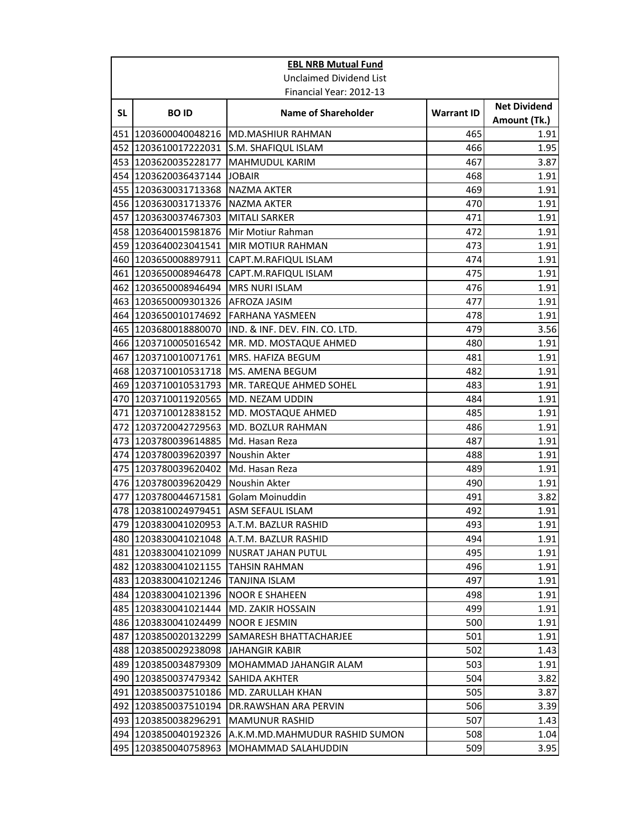|    | <b>EBL NRB Mutual Fund</b> |                                           |                   |                                     |  |
|----|----------------------------|-------------------------------------------|-------------------|-------------------------------------|--|
|    |                            | Unclaimed Dividend List                   |                   |                                     |  |
|    | Financial Year: 2012-13    |                                           |                   |                                     |  |
| SL | <b>BOID</b>                | <b>Name of Shareholder</b>                | <b>Warrant ID</b> | <b>Net Dividend</b><br>Amount (Tk.) |  |
|    | 451 1203600040048216       | <b>MD.MASHIUR RAHMAN</b>                  | 465               | 1.91                                |  |
|    | 452 1203610017222031       | S.M. SHAFIQUL ISLAM                       | 466               | 1.95                                |  |
|    | 453 1203620035228177       | <b>MAHMUDUL KARIM</b>                     | 467               | 3.87                                |  |
|    | 454 1203620036437144       | <b>JOBAIR</b>                             | 468               | 1.91                                |  |
|    | 455 1203630031713368       | <b>NAZMA AKTER</b>                        | 469               | 1.91                                |  |
|    | 456 1203630031713376       | <b>NAZMA AKTER</b>                        | 470               | 1.91                                |  |
|    | 457  1203630037467303      | <b>MITALI SARKER</b>                      | 471               | 1.91                                |  |
|    | 458 1203640015981876       | Mir Motiur Rahman                         | 472               | 1.91                                |  |
|    | 459 1203640023041541       | MIR MOTIUR RAHMAN                         | 473               | 1.91                                |  |
|    | 460 1203650008897911       | CAPT.M.RAFIQUL ISLAM                      | 474               | 1.91                                |  |
|    | 461 1203650008946478       | CAPT.M.RAFIQUL ISLAM                      | 475               | 1.91                                |  |
|    | 462 1203650008946494       | <b>MRS NURI ISLAM</b>                     | 476               | 1.91                                |  |
|    | 463 1203650009301326       | AFROZA JASIM                              | 477               | 1.91                                |  |
|    | 464 1203650010174692       | FARHANA YASMEEN                           | 478               | 1.91                                |  |
|    | 465 1203680018880070       | IND. & INF. DEV. FIN. CO. LTD.            | 479               | 3.56                                |  |
|    | 466 1203710005016542       | MR. MD. MOSTAQUE AHMED                    | 480               | 1.91                                |  |
|    | 467 1203710010071761       | MRS. HAFIZA BEGUM                         | 481               | 1.91                                |  |
|    | 468 1203710010531718       | MS. AMENA BEGUM                           | 482               | 1.91                                |  |
|    | 469 1203710010531793       | MR. TAREQUE AHMED SOHEL                   | 483               | 1.91                                |  |
|    | 470 1203710011920565       | MD. NEZAM UDDIN                           | 484               | 1.91                                |  |
|    | 471 1203710012838152       | MD. MOSTAQUE AHMED                        | 485               | 1.91                                |  |
|    | 472 1203720042729563       | MD. BOZLUR RAHMAN                         | 486               | 1.91                                |  |
|    | 473 1203780039614885       | Md. Hasan Reza                            | 487               | 1.91                                |  |
|    | 474 1203780039620397       | Noushin Akter                             | 488               | 1.91                                |  |
|    | 475 1203780039620402       | Md. Hasan Reza                            | 489               | 1.91                                |  |
|    | 476 1203780039620429       | Noushin Akter                             | 490               | 1.91                                |  |
|    | 477 1203780044671581       | Golam Moinuddin                           | 491               | 3.82                                |  |
|    | 478 1203810024979451       | <b>ASM SEFAUL ISLAM</b>                   | 492               | 1.91                                |  |
|    |                            | 479 1203830041020953 A.T.M. BAZLUR RASHID | 493               | 1.91                                |  |
|    | 480 1203830041021048       | A.T.M. BAZLUR RASHID                      | 494               | 1.91                                |  |
|    | 481 1203830041021099       | NUSRAT JAHAN PUTUL                        | 495               | 1.91                                |  |
|    | 482 1203830041021155       | TAHSIN RAHMAN                             | 496               | 1.91                                |  |
|    | 483 1203830041021246       | TANJINA ISLAM                             | 497               | 1.91                                |  |
|    | 484 1203830041021396       | <b>NOOR E SHAHEEN</b>                     | 498               | 1.91                                |  |
|    | 485 1203830041021444       | MD. ZAKIR HOSSAIN                         | 499               | 1.91                                |  |
|    | 486 1203830041024499       | <b>NOOR E JESMIN</b>                      | 500               | 1.91                                |  |
|    | 487 1203850020132299       | SAMARESH BHATTACHARJEE                    | 501               | 1.91                                |  |
|    | 488 1203850029238098       | <b>JAHANGIR KABIR</b>                     | 502               | 1.43                                |  |
|    | 489 1203850034879309       | MOHAMMAD JAHANGIR ALAM                    | 503               | 1.91                                |  |
|    | 490 1203850037479342       | SAHIDA AKHTER                             | 504               | 3.82                                |  |
|    | 491 1203850037510186       | MD. ZARULLAH KHAN                         | 505               | 3.87                                |  |
|    | 492 1203850037510194       | DR.RAWSHAN ARA PERVIN                     | 506               | 3.39                                |  |
|    | 493 1203850038296291       | <b>MAMUNUR RASHID</b>                     | 507               | 1.43                                |  |
|    | 494 1203850040192326       | A.K.M.MD.MAHMUDUR RASHID SUMON            | 508               | 1.04                                |  |
|    | 495 1203850040758963       | MOHAMMAD SALAHUDDIN                       | 509               | 3.95                                |  |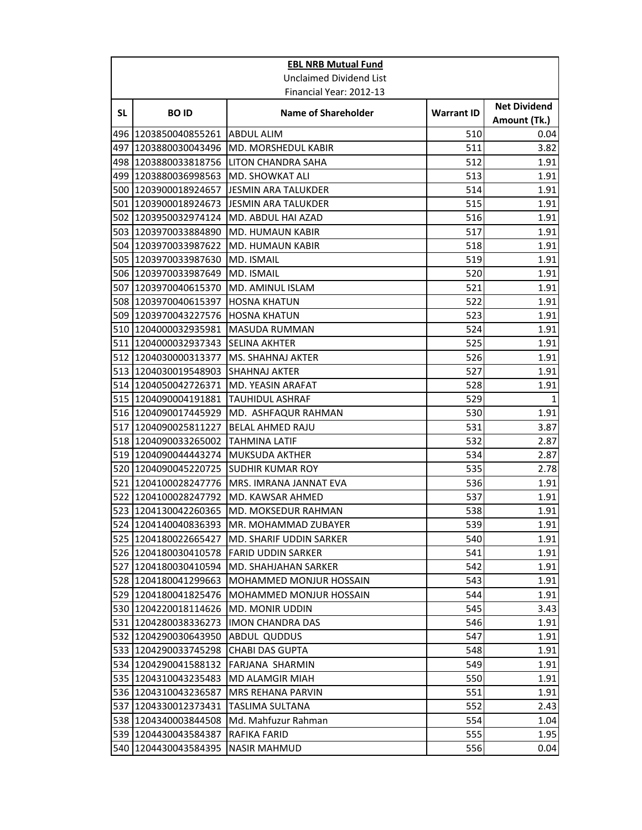|    | <b>EBL NRB Mutual Fund</b>                   |                                                |                   |                                     |
|----|----------------------------------------------|------------------------------------------------|-------------------|-------------------------------------|
|    |                                              | Unclaimed Dividend List                        |                   |                                     |
|    |                                              | Financial Year: 2012-13                        |                   |                                     |
| SL | <b>BOID</b>                                  | <b>Name of Shareholder</b>                     | <b>Warrant ID</b> | <b>Net Dividend</b><br>Amount (Tk.) |
|    | 496 1203850040855261                         | ABDUL ALIM                                     | 510               | 0.04                                |
|    | 497 1203880030043496                         | <b>MD. MORSHEDUL KABIR</b>                     | 511               | 3.82                                |
|    | 498 1203880033818756                         | LITON CHANDRA SAHA                             | 512               | 1.91                                |
|    | 499 1203880036998563                         | MD. SHOWKAT ALI                                | 513               | 1.91                                |
|    | 500 1203900018924657                         | IJESMIN ARA TALUKDER                           | 514               | 1.91                                |
|    | 501 1203900018924673                         | JESMIN ARA TALUKDER                            | 515               | 1.91                                |
|    | 502 1203950032974124                         | MD. ABDUL HAI AZAD                             | 516               | 1.91                                |
|    | 503 1203970033884890                         | <b>MD. HUMAUN KABIR</b>                        | 517               | 1.91                                |
|    | 504 1203970033987622                         | <b>MD. HUMAUN KABIR</b>                        | 518               | 1.91                                |
|    | 505 1203970033987630                         | MD. ISMAIL                                     | 519               | 1.91                                |
|    | 506 1203970033987649                         | MD. ISMAIL                                     | 520               | 1.91                                |
|    | 507 1203970040615370                         | MD. AMINUL ISLAM                               | 521               | 1.91                                |
|    | 508 1203970040615397                         | <b>HOSNA KHATUN</b>                            | 522               | 1.91                                |
|    | 509 1203970043227576                         | HOSNA KHATUN                                   | 523               | 1.91                                |
|    | 510 1204000032935981                         | <b>MASUDA RUMMAN</b>                           | 524               | 1.91                                |
|    | 511 1204000032937343                         | <b>SELINA AKHTER</b>                           | 525               | 1.91                                |
|    | 512 1204030000313377                         | MS. SHAHNAJ AKTER                              | 526               | 1.91                                |
|    | 513 1204030019548903                         | <b>SHAHNAJ AKTER</b>                           | 527               | 1.91                                |
|    | 514 1204050042726371                         | MD. YEASIN ARAFAT                              | 528               | 1.91                                |
|    | 515 1204090004191881                         | <b>TAUHIDUL ASHRAF</b>                         | 529               | $1\overline{ }$                     |
|    | 516 1204090017445929                         | MD. ASHFAQUR RAHMAN                            | 530               | 1.91                                |
|    | 517 1204090025811227                         | <b>BELAL AHMED RAJU</b>                        | 531               | 3.87                                |
|    | 518 1204090033265002                         | TAHMINA LATIF                                  | 532               | 2.87                                |
|    | 519 1204090044443274                         | <b>MUKSUDA AKTHER</b>                          | 534               | 2.87                                |
|    | 520 1204090045220725                         | <b>SUDHIR KUMAR ROY</b>                        | 535               | 2.78                                |
|    | 521 1204100028247776                         | MRS. IMRANA JANNAT EVA                         | 536               | 1.91                                |
|    | 522 1204100028247792                         | MD. KAWSAR AHMED                               | 537               | 1.91                                |
|    | 523 1204130042260365                         | <b>MD. MOKSEDUR RAHMAN</b>                     | 538               | 1.91                                |
|    | 524 1204140040836393                         | MR. MOHAMMAD ZUBAYER                           | 539               | 1.91                                |
|    | 525 1204180022665427                         | MD. SHARIF UDDIN SARKER                        | 540               | 1.91                                |
|    | 526 1204180030410578                         | <b>FARID UDDIN SARKER</b>                      | 541               | 1.91                                |
|    | 527 1204180030410594                         | MD. SHAHJAHAN SARKER                           | 542               | 1.91                                |
|    | 528 1204180041299663                         | <b>MOHAMMED MONJUR HOSSAIN</b>                 | 543               | 1.91                                |
|    | 529 1204180041825476                         | <b>MOHAMMED MONJUR HOSSAIN</b>                 | 544               | 1.91                                |
|    | 530 1204220018114626                         | <b>MD. MONIR UDDIN</b>                         | 545               | 3.43                                |
|    | 531 1204280038336273<br>532 1204290030643950 | <b>IMON CHANDRA DAS</b><br><b>ABDUL QUDDUS</b> | 546<br>547        | 1.91                                |
|    | 533 1204290033745298                         | <b>CHABI DAS GUPTA</b>                         | 548               | 1.91<br>1.91                        |
|    | 534 1204290041588132                         | <b>FARJANA SHARMIN</b>                         | 549               | 1.91                                |
|    | 535 1204310043235483                         | MD ALAMGIR MIAH                                | 550               | 1.91                                |
|    | 536 1204310043236587                         | MRS REHANA PARVIN                              | 551               | 1.91                                |
|    | 537 1204330012373431                         | TASLIMA SULTANA                                | 552               | 2.43                                |
|    | 538 1204340003844508                         | Md. Mahfuzur Rahman                            | 554               | 1.04                                |
|    | 539 1204430043584387                         | RAFIKA FARID                                   | 555               | 1.95                                |
|    | 540 1204430043584395                         | <b>NASIR MAHMUD</b>                            | 556               | 0.04                                |
|    |                                              |                                                |                   |                                     |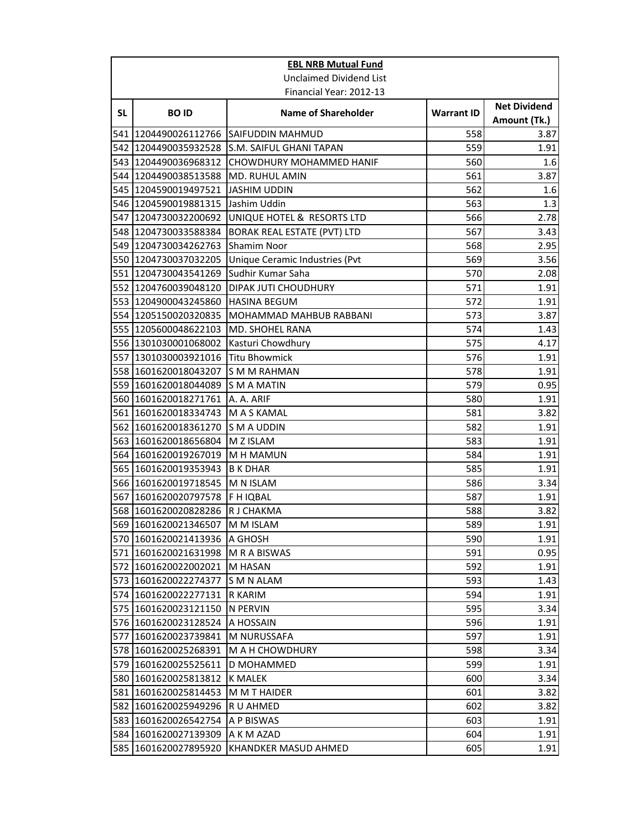| <b>EBL NRB Mutual Fund</b>     |                                   |                                              |                   |                                     |
|--------------------------------|-----------------------------------|----------------------------------------------|-------------------|-------------------------------------|
| <b>Unclaimed Dividend List</b> |                                   |                                              |                   |                                     |
|                                |                                   | Financial Year: 2012-13                      |                   |                                     |
| <b>SL</b>                      | <b>BOID</b>                       | <b>Name of Shareholder</b>                   | <b>Warrant ID</b> | <b>Net Dividend</b><br>Amount (Tk.) |
|                                |                                   | 541 1204490026112766 SAIFUDDIN MAHMUD        | 558               | 3.87                                |
|                                |                                   | 542 1204490035932528 S.M. SAIFUL GHANI TAPAN | 559               | 1.91                                |
|                                | 543 1204490036968312              | <b>CHOWDHURY MOHAMMED HANIF</b>              | 560               | 1.6                                 |
|                                | 544 1204490038513588              | MD. RUHUL AMIN                               | 561               | 3.87                                |
|                                | 545 1204590019497521              | JASHIM UDDIN                                 | 562               | 1.6                                 |
|                                | 546 1204590019881315 Jashim Uddin |                                              | 563               | 1.3                                 |
|                                | 547 1204730032200692              | UNIQUE HOTEL & RESORTS LTD                   | 566               | 2.78                                |
|                                | 548 1204730033588384              | <b>BORAK REAL ESTATE (PVT) LTD</b>           | 567               | 3.43                                |
|                                | 549 1204730034262763              | <b>Shamim Noor</b>                           | 568               | 2.95                                |
|                                | 550 1204730037032205              | Unique Ceramic Industries (Pvt               | 569               | 3.56                                |
|                                | 551 1204730043541269              | Sudhir Kumar Saha                            | 570               | 2.08                                |
|                                | 552 1204760039048120              | DIPAK JUTI CHOUDHURY                         | 571               | 1.91                                |
|                                | 553 1204900043245860              | <b>HASINA BEGUM</b>                          | 572               | 1.91                                |
|                                | 554 1205150020320835              | MOHAMMAD MAHBUB RABBANI                      | 573               | 3.87                                |
|                                | 555 1205600048622103              | <b>MD. SHOHEL RANA</b>                       | 574               | 1.43                                |
|                                | 556 1301030001068002              | Kasturi Chowdhury                            | 575               | 4.17                                |
|                                | 557 1301030003921016              | <b>Titu Bhowmick</b>                         | 576               | 1.91                                |
|                                | 558 1601620018043207              | S M M RAHMAN                                 | 578               | 1.91                                |
|                                | 559 1601620018044089              | S M A MATIN                                  | 579               | 0.95                                |
|                                | 560 1601620018271761 A. A. ARIF   |                                              | 580               | 1.91                                |
|                                | 561 1601620018334743 M A S KAMAL  |                                              | 581               | 3.82                                |
|                                | 562 1601620018361270 S M A UDDIN  |                                              | 582               | 1.91                                |
| 563                            | 1601620018656804 M Z ISLAM        |                                              | 583               | 1.91                                |
|                                | 564 1601620019267019 M H MAMUN    |                                              | 584               | 1.91                                |
|                                | 565 1601620019353943 B K DHAR     |                                              | 585               | 1.91                                |
|                                | 566 1601620019718545 M N ISLAM    |                                              | 586               | 3.34                                |
|                                | 567 1601620020797578  F H IQBAL   |                                              | 587               | 1.91                                |
|                                | 568 1601620020828286              | R J CHAKMA                                   | 588               | 3.82                                |
|                                | 569 1601620021346507 M M ISLAM    |                                              | 589               | 1.91                                |
|                                | 570 1601620021413936 A GHOSH      |                                              | 590               | 1.91                                |
|                                | 571 1601620021631998 M R A BISWAS |                                              | 591               | 0.95                                |
| 572                            | 1601620022002021                  | IM HASAN                                     | 592               | 1.91                                |
|                                | 573 1601620022274377              | S M N ALAM                                   | 593               | 1.43                                |
|                                | 574 1601620022277131 R KARIM      |                                              | 594               | 1.91                                |
|                                | 575 1601620023121150              | IN PERVIN                                    | 595               | 3.34                                |
|                                | 576 1601620023128524              | A HOSSAIN                                    | 596               | 1.91                                |
| 577                            | 1601620023739841                  | M NURUSSAFA                                  | 597               | 1.91                                |
|                                | 578 1601620025268391              | <b>MAH CHOWDHURY</b>                         | 598               | 3.34                                |
|                                | 579 1601620025525611              | D MOHAMMED                                   | 599               | 1.91                                |
|                                | 580 1601620025813812              | <b>K MALEK</b>                               | 600               | 3.34                                |
| 581                            | 1601620025814453                  | M M T HAIDER                                 | 601               | 3.82                                |
|                                | 582 1601620025949296              | R U AHMED                                    | 602               | 3.82                                |
|                                | 583 1601620026542754              | A P BISWAS                                   | 603               | 1.91                                |
|                                | 584 1601620027139309              | A K M AZAD                                   | 604               | 1.91                                |
|                                | 585 1601620027895920              | KHANDKER MASUD AHMED                         | 605               | 1.91                                |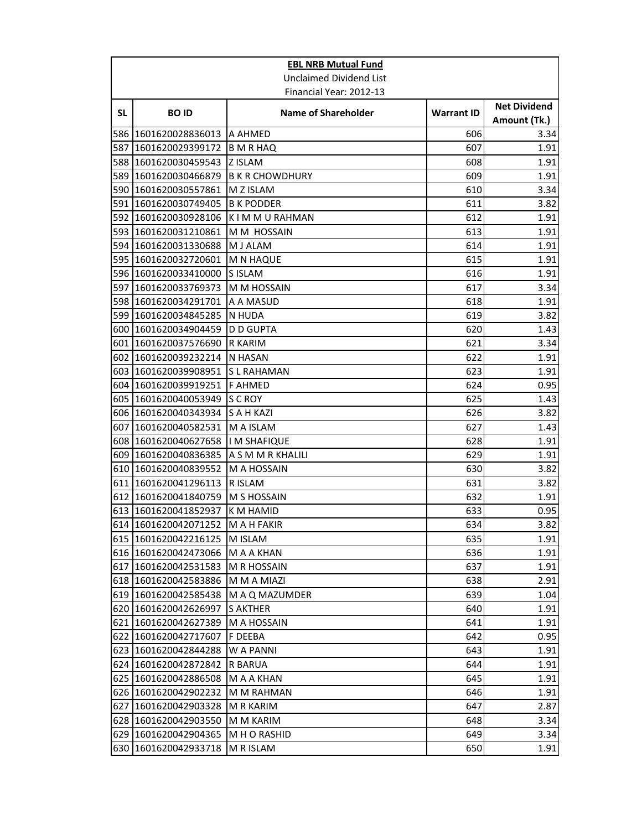| <b>EBL NRB Mutual Fund</b>     |                                  |                            |                   |                                     |
|--------------------------------|----------------------------------|----------------------------|-------------------|-------------------------------------|
| <b>Unclaimed Dividend List</b> |                                  |                            |                   |                                     |
|                                |                                  | Financial Year: 2012-13    |                   |                                     |
| SL.                            | <b>BOID</b>                      | <b>Name of Shareholder</b> | <b>Warrant ID</b> | <b>Net Dividend</b><br>Amount (Tk.) |
|                                | 586 1601620028836013             | IA AHMED                   | 606               | 3.34                                |
|                                | 587 1601620029399172             | <b>B</b> M R HAQ           | 607               | 1.91                                |
|                                | 588 1601620030459543             | <b>ZISLAM</b>              | 608               | 1.91                                |
|                                | 589 1601620030466879             | <b>B K R CHOWDHURY</b>     | 609               | 1.91                                |
|                                | 590 1601620030557861             | M Z ISLAM                  | 610               | 3.34                                |
|                                | 591 1601620030749405             | <b>B K PODDER</b>          | 611               | 3.82                                |
|                                | 592 1601620030928106             | K I M M U RAHMAN           | 612               | 1.91                                |
|                                | 593 1601620031210861             | M M HOSSAIN                | 613               | 1.91                                |
|                                | 594 1601620031330688             | M J ALAM                   | 614               | 1.91                                |
|                                | 595 1601620032720601             | <b>M N HAQUE</b>           | 615               | 1.91                                |
|                                | 596 1601620033410000             | <b>SISLAM</b>              | 616               | 1.91                                |
|                                | 597 1601620033769373             | M M HOSSAIN                | 617               | 3.34                                |
|                                | 598 1601620034291701             | A A MASUD                  | 618               | 1.91                                |
|                                | 599 1601620034845285             | N HUDA                     | 619               | 3.82                                |
|                                | 600 1601620034904459             | <b>D D GUPTA</b>           | 620               | 1.43                                |
|                                | 601 1601620037576690             | <b>R KARIM</b>             | 621               | 3.34                                |
|                                | 602 1601620039232214             | N HASAN                    | 622               | 1.91                                |
|                                | 603 1601620039908951             | S L RAHAMAN                | 623               | 1.91                                |
|                                | 604 1601620039919251             | <b>F AHMED</b>             | 624               | 0.95                                |
|                                | 605 1601620040053949             | <b>S C ROY</b>             | 625               | 1.43                                |
|                                | 606 1601620040343934             | S A H KAZI                 | 626               | 3.82                                |
|                                | 607 1601620040582531             | M A ISLAM                  | 627               | 1.43                                |
|                                | 608 1601620040627658             | <b>IM SHAFIQUE</b>         | 628               | 1.91                                |
|                                | 609 1601620040836385             | A S M M R KHALILI          | 629               | 1.91                                |
|                                | 610 1601620040839552             | M A HOSSAIN                | 630               | 3.82                                |
|                                | 611 1601620041296113             | R ISLAM                    | 631               | 3.82                                |
|                                | 612 1601620041840759 M S HOSSAIN |                            | 632               | 1.91                                |
|                                | 613 1601620041852937             | K M HAMID                  | 633               | 0.95                                |
|                                | 614 1601620042071252 M A H FAKIR |                            | 634               | 3.82                                |
|                                | 615 1601620042216125             | M ISLAM                    | 635               | 1.91                                |
|                                | 616 1601620042473066             | M A A KHAN                 | 636               | 1.91                                |
|                                | 617 1601620042531583             | <b>M R HOSSAIN</b>         | 637               | 1.91                                |
|                                | 618 1601620042583886             | M M A MIAZI                | 638               | 2.91                                |
|                                | 619 1601620042585438             | M A Q MAZUMDER             | 639               | 1.04                                |
|                                | 620 1601620042626997             | <b>S AKTHER</b>            | 640               | 1.91                                |
|                                | 621 1601620042627389             | M A HOSSAIN                | 641               | 1.91                                |
|                                | 622 1601620042717607             | F DEEBA                    | 642               | 0.95                                |
|                                | 623 1601620042844288             | W A PANNI                  | 643               | 1.91                                |
|                                | 624 1601620042872842             | R BARUA                    | 644               | 1.91                                |
|                                | 625 1601620042886508             | M A A KHAN                 | 645               | 1.91                                |
|                                | 626 1601620042902232             | M M RAHMAN                 | 646               | 1.91                                |
|                                | 627 1601620042903328             | M R KARIM                  | 647               | 2.87                                |
|                                | 628 1601620042903550             | M M KARIM                  | 648               | 3.34                                |
|                                | 629 1601620042904365             | M H O RASHID               | 649               | 3.34                                |
|                                | 630 1601620042933718             | M R ISLAM                  | 650               | 1.91                                |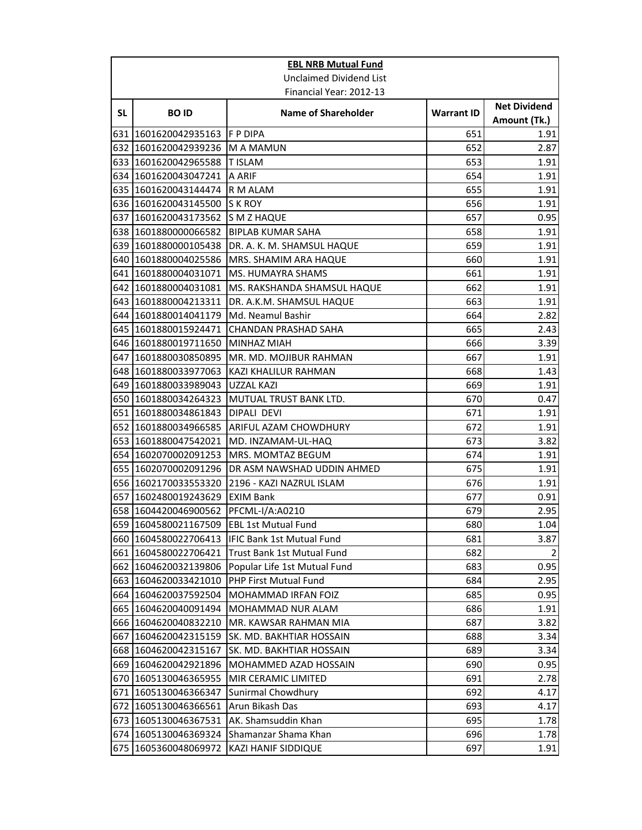| <b>EBL NRB Mutual Fund</b>     |                                          |                                   |                   |                                     |
|--------------------------------|------------------------------------------|-----------------------------------|-------------------|-------------------------------------|
| <b>Unclaimed Dividend List</b> |                                          |                                   |                   |                                     |
|                                |                                          | Financial Year: 2012-13           |                   |                                     |
| SL                             | <b>BOID</b>                              | <b>Name of Shareholder</b>        | <b>Warrant ID</b> | <b>Net Dividend</b><br>Amount (Tk.) |
|                                | 631 1601620042935163                     | IF P DIPA                         | 651               | 1.91                                |
|                                | 632 1601620042939236                     | IM A MAMUN                        | 652               | 2.87                                |
|                                | 633 1601620042965588                     | <b>TISLAM</b>                     | 653               | 1.91                                |
|                                | 634 1601620043047241                     | A ARIF                            | 654               | 1.91                                |
|                                | 635 1601620043144474                     | R M ALAM                          | 655               | 1.91                                |
|                                | 636 1601620043145500                     | <b>S K ROY</b>                    | 656               | 1.91                                |
|                                | 637 1601620043173562 S M Z HAQUE         |                                   | 657               | 0.95                                |
|                                | 638 1601880000066582                     | <b>BIPLAB KUMAR SAHA</b>          | 658               | 1.91                                |
|                                | 639 1601880000105438                     | DR. A. K. M. SHAMSUL HAQUE        | 659               | 1.91                                |
|                                | 640 1601880004025586                     | MRS. SHAMIM ARA HAQUE             | 660               | 1.91                                |
|                                | 641 1601880004031071                     | MS. HUMAYRA SHAMS                 | 661               | 1.91                                |
|                                | 642 1601880004031081                     | MS. RAKSHANDA SHAMSUL HAQUE       | 662               | 1.91                                |
|                                | 643 1601880004213311                     | DR. A.K.M. SHAMSUL HAQUE          | 663               | 1.91                                |
|                                | 644 1601880014041179                     | Md. Neamul Bashir                 | 664               | 2.82                                |
|                                | 645 1601880015924471                     | <b>CHANDAN PRASHAD SAHA</b>       | 665               | 2.43                                |
|                                | 646 1601880019711650                     | <b>MINHAZ MIAH</b>                | 666               | 3.39                                |
|                                | 647 1601880030850895                     | MR. MD. MOJIBUR RAHMAN            | 667               | 1.91                                |
|                                | 648 1601880033977063                     | KAZI KHALILUR RAHMAN              | 668               | 1.43                                |
|                                | 649 1601880033989043                     | UZZAL KAZI                        | 669               | 1.91                                |
|                                | 650 1601880034264323                     | MUTUAL TRUST BANK LTD.            | 670               | 0.47                                |
|                                | 651 1601880034861843                     | <b>DIPALI DEVI</b>                | 671               | 1.91                                |
|                                | 652 1601880034966585                     | ARIFUL AZAM CHOWDHURY             | 672               | 1.91                                |
|                                | 653 1601880047542021                     | MD. INZAMAM-UL-HAQ                | 673               | 3.82                                |
|                                | 654 1602070002091253                     | MRS. MOMTAZ BEGUM                 | 674               | 1.91                                |
|                                | 655 1602070002091296                     | <b>DR ASM NAWSHAD UDDIN AHMED</b> | 675               | 1.91                                |
|                                | 656 1602170033553320                     | 2196 - KAZI NAZRUL ISLAM          | 676               | 1.91                                |
|                                | 657 1602480019243629                     | <b>EXIM Bank</b>                  | 677               | 0.91                                |
|                                | 658 1604420046900562                     | PFCML-I/A:A0210                   | 679               | 2.95                                |
|                                | 659 1604580021167509 EBL 1st Mutual Fund |                                   | 680               | 1.04                                |
|                                | 660 1604580022706413                     | <b>IFIC Bank 1st Mutual Fund</b>  | 681               | 3.87                                |
|                                | 661 1604580022706421                     | Trust Bank 1st Mutual Fund        | 682               | $\overline{2}$                      |
|                                | 662 1604620032139806                     | Popular Life 1st Mutual Fund      | 683               | 0.95                                |
|                                | 663 1604620033421010                     | PHP First Mutual Fund             | 684               | 2.95                                |
|                                | 664 1604620037592504                     | MOHAMMAD IRFAN FOIZ               | 685               | 0.95                                |
|                                | 665 1604620040091494                     | MOHAMMAD NUR ALAM                 | 686               | 1.91                                |
|                                | 666 1604620040832210                     | MR. KAWSAR RAHMAN MIA             | 687               | 3.82                                |
| 667                            | 1604620042315159                         | SK. MD. BAKHTIAR HOSSAIN          | 688               | 3.34                                |
|                                | 668 1604620042315167                     | SK. MD. BAKHTIAR HOSSAIN          | 689               | 3.34                                |
|                                | 669 1604620042921896                     | MOHAMMED AZAD HOSSAIN             | 690               | 0.95                                |
|                                | 670 1605130046365955                     | MIR CERAMIC LIMITED               | 691               | 2.78                                |
|                                | 671 1605130046366347                     | Sunirmal Chowdhury                | 692               | 4.17                                |
|                                | 672 1605130046366561                     | Arun Bikash Das                   | 693               | 4.17                                |
|                                | 673 1605130046367531                     | AK. Shamsuddin Khan               | 695               | 1.78                                |
|                                | 674 1605130046369324                     | Shamanzar Shama Khan              | 696               | 1.78                                |
|                                | 675 1605360048069972                     | KAZI HANIF SIDDIQUE               | 697               | 1.91                                |